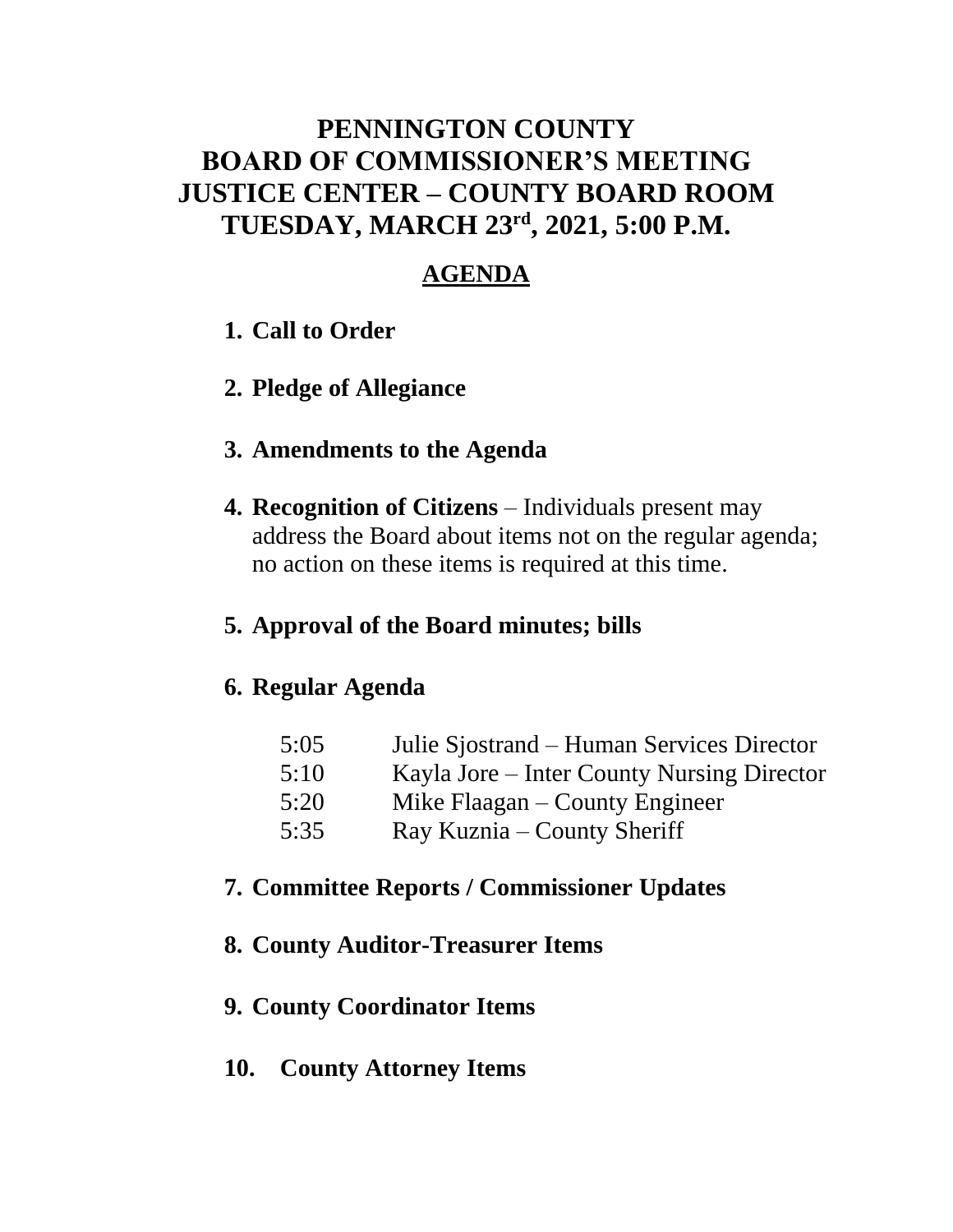### **PENNINGTON COUNTY BOARD OF COMMISSIONER'S MEETING JUSTICE CENTER – COUNTY BOARD ROOM TUESDAY, MARCH 23rd , 2021, 5:00 P.M.**

### **AGENDA**

- **1. Call to Order**
- **2. Pledge of Allegiance**

### **3. Amendments to the Agenda**

**4. Recognition of Citizens** – Individuals present may address the Board about items not on the regular agenda; no action on these items is required at this time.

### **5. Approval of the Board minutes; bills**

#### **6. Regular Agenda**

| 5:05 | Julie Sjostrand – Human Services Director  |
|------|--------------------------------------------|
| 5:10 | Kayla Jore – Inter County Nursing Director |
| 5:20 | Mike Flaagan – County Engineer             |
| 5:35 | Ray Kuznia – County Sheriff                |

### **7. Committee Reports / Commissioner Updates**

### **8. County Auditor-Treasurer Items**

#### **9. County Coordinator Items**

**10. County Attorney Items**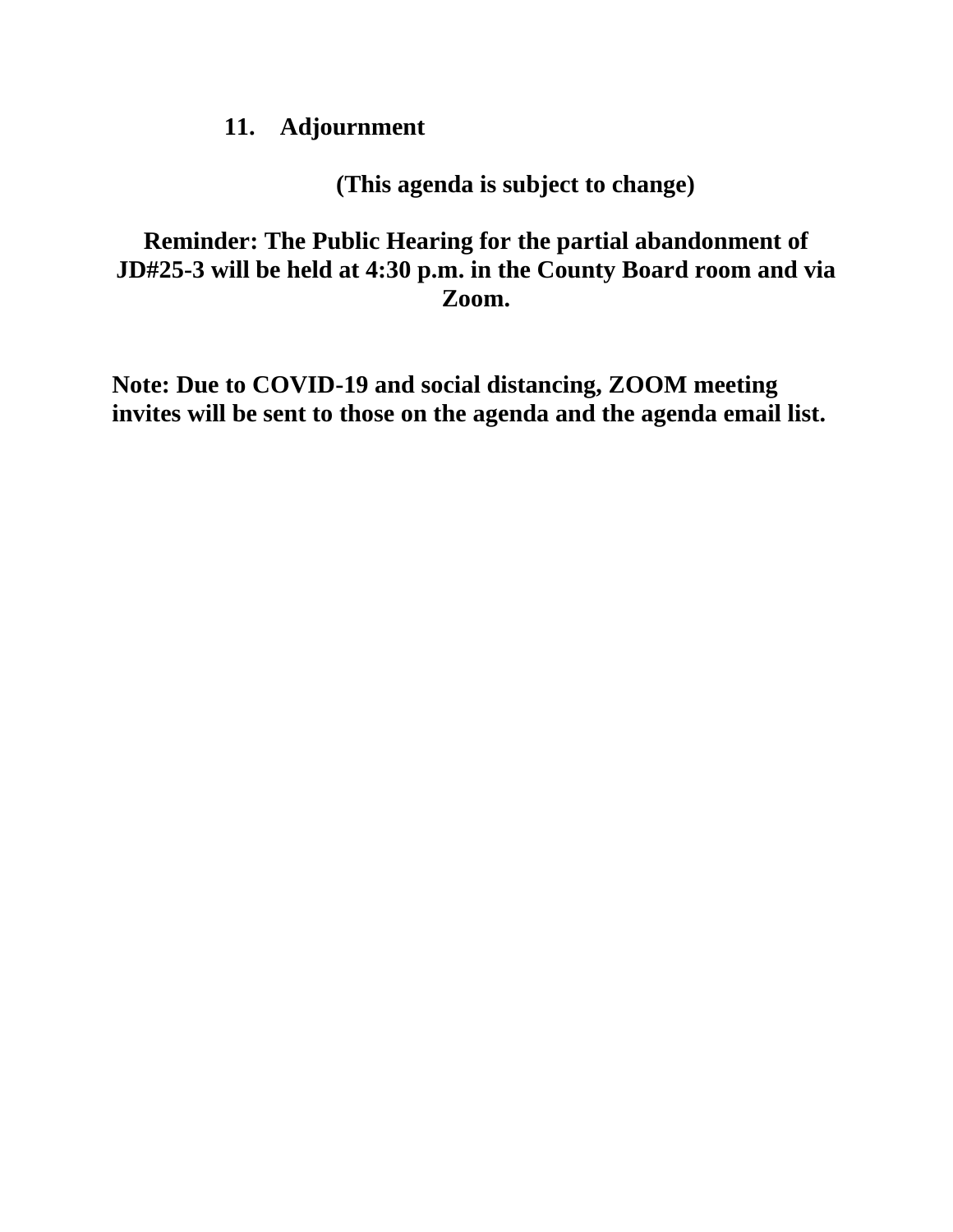### **11. Adjournment**

**(This agenda is subject to change)**

**Reminder: The Public Hearing for the partial abandonment of JD#25-3 will be held at 4:30 p.m. in the County Board room and via Zoom.**

**Note: Due to COVID-19 and social distancing, ZOOM meeting invites will be sent to those on the agenda and the agenda email list.**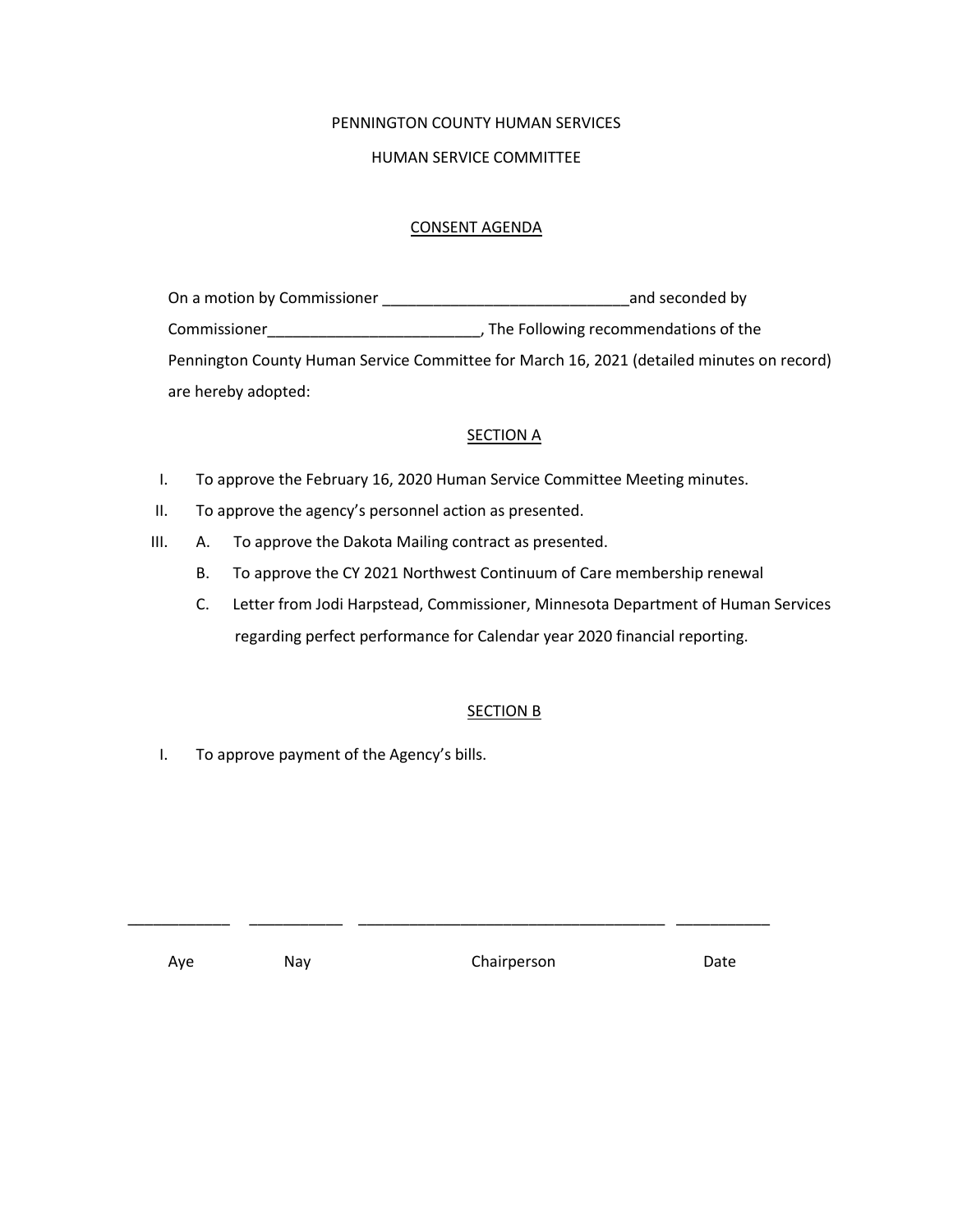#### PENNINGTON COUNTY HUMAN SERVICES

#### HUMAN SERVICE COMMITTEE

#### CONSENT AGENDA

| On a motion by Commissioner | and seconded by                                                                           |
|-----------------------------|-------------------------------------------------------------------------------------------|
| Commissioner                | , The Following recommendations of the                                                    |
|                             | Pennington County Human Service Committee for March 16, 2021 (detailed minutes on record) |
| are hereby adopted:         |                                                                                           |

#### **SECTION A**

- I. To approve the February 16, 2020 Human Service Committee Meeting minutes.
- II. To approve the agency's personnel action as presented.
- III. A. To approve the Dakota Mailing contract as presented.
	- B. To approve the CY 2021 Northwest Continuum of Care membership renewal
	- C. Letter from Jodi Harpstead, Commissioner, Minnesota Department of Human Services regarding perfect performance for Calendar year 2020 financial reporting.

#### SECTION B

I. To approve payment of the Agency's bills.

Aye May Nay Chairperson Date

\_\_\_\_\_\_\_\_\_\_\_\_ \_\_\_\_\_\_\_\_\_\_\_ \_\_\_\_\_\_\_\_\_\_\_\_\_\_\_\_\_\_\_\_\_\_\_\_\_\_\_\_\_\_\_\_\_\_\_\_ \_\_\_\_\_\_\_\_\_\_\_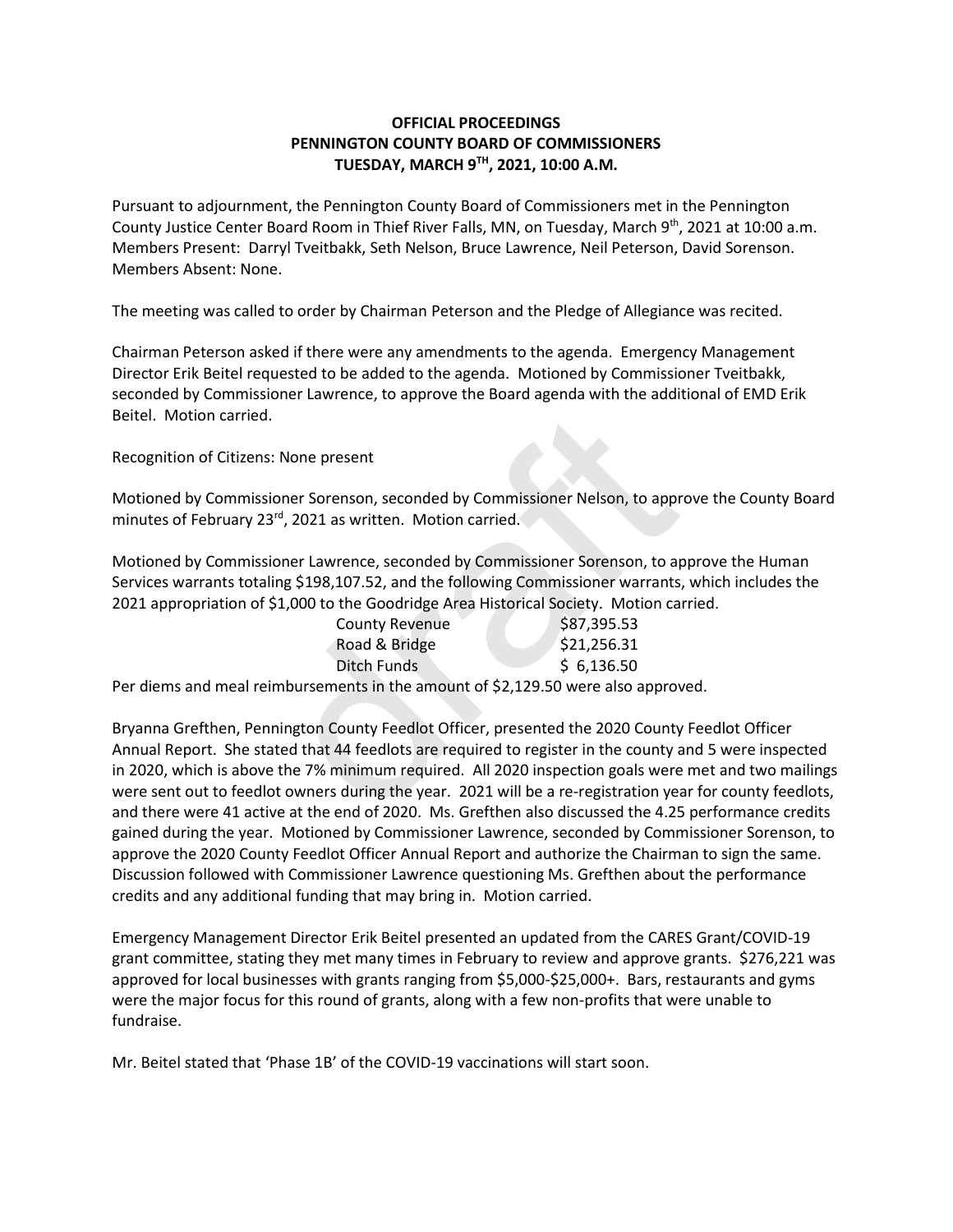#### **OFFICIAL PROCEEDINGS PENNINGTON COUNTY BOARD OF COMMISSIONERS TUESDAY, MARCH 9TH , 2021, 10:00 A.M.**

Pursuant to adjournment, the Pennington County Board of Commissioners met in the Pennington County Justice Center Board Room in Thief River Falls, MN, on Tuesday, March 9<sup>th</sup>, 2021 at 10:00 a.m. Members Present: Darryl Tveitbakk, Seth Nelson, Bruce Lawrence, Neil Peterson, David Sorenson. Members Absent: None.

The meeting was called to order by Chairman Peterson and the Pledge of Allegiance was recited.

Chairman Peterson asked if there were any amendments to the agenda. Emergency Management Director Erik Beitel requested to be added to the agenda. Motioned by Commissioner Tveitbakk, seconded by Commissioner Lawrence, to approve the Board agenda with the additional of EMD Erik Beitel. Motion carried.

Recognition of Citizens: None present

Motioned by Commissioner Sorenson, seconded by Commissioner Nelson, to approve the County Board minutes of February 23rd, 2021 as written. Motion carried.

Motioned by Commissioner Lawrence, seconded by Commissioner Sorenson, to approve the Human Services warrants totaling \$198,107.52, and the following Commissioner warrants, which includes the 2021 appropriation of \$1,000 to the Goodridge Area Historical Society. Motion carried.

| \$87,395.53 |
|-------------|
| \$21,256.31 |
| \$6,136.50  |
|             |

Per diems and meal reimbursements in the amount of \$2,129.50 were also approved.

Bryanna Grefthen, Pennington County Feedlot Officer, presented the 2020 County Feedlot Officer Annual Report. She stated that 44 feedlots are required to register in the county and 5 were inspected in 2020, which is above the 7% minimum required. All 2020 inspection goals were met and two mailings were sent out to feedlot owners during the year. 2021 will be a re-registration year for county feedlots, and there were 41 active at the end of 2020. Ms. Grefthen also discussed the 4.25 performance credits gained during the year. Motioned by Commissioner Lawrence, seconded by Commissioner Sorenson, to approve the 2020 County Feedlot Officer Annual Report and authorize the Chairman to sign the same. Discussion followed with Commissioner Lawrence questioning Ms. Grefthen about the performance credits and any additional funding that may bring in. Motion carried. : None present<br>
ioner Sorenson, seconded by Commissioner Nelson, to approximated<br>
ioner Lawrence, seconded by Commissioner Sorenson, to approximating \$198,107.52, and the following Commissioner warrants<br>
\$1,000 to the Goo

Emergency Management Director Erik Beitel presented an updated from the CARES Grant/COVID-19 grant committee, stating they met many times in February to review and approve grants. \$276,221 was approved for local businesses with grants ranging from \$5,000-\$25,000+. Bars, restaurants and gyms were the major focus for this round of grants, along with a few non-profits that were unable to fundraise.

Mr. Beitel stated that 'Phase 1B' of the COVID-19 vaccinations will start soon.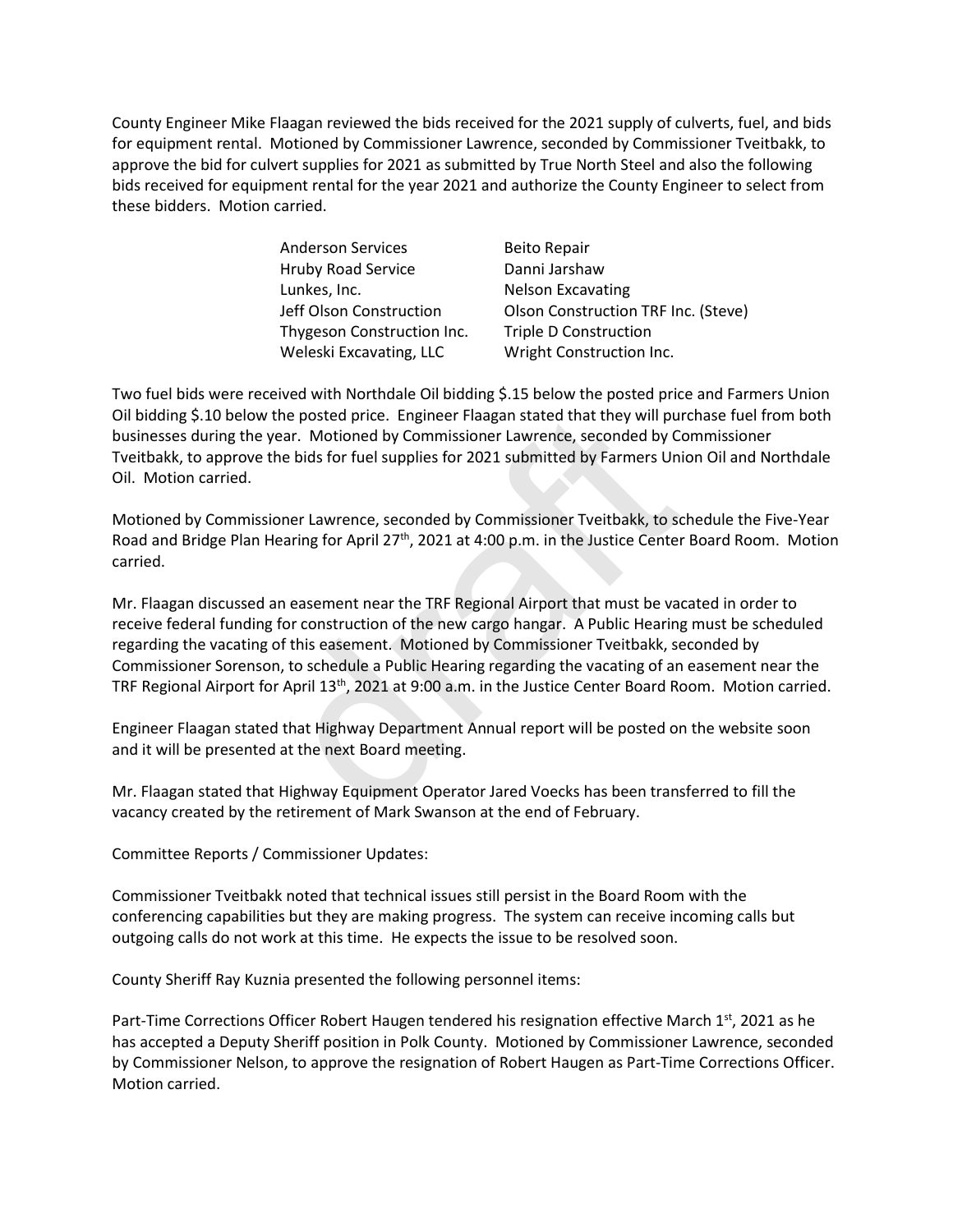County Engineer Mike Flaagan reviewed the bids received for the 2021 supply of culverts, fuel, and bids for equipment rental. Motioned by Commissioner Lawrence, seconded by Commissioner Tveitbakk, to approve the bid for culvert supplies for 2021 as submitted by True North Steel and also the following bids received for equipment rental for the year 2021 and authorize the County Engineer to select from these bidders. Motion carried.

> Anderson Services Beito Repair Hruby Road Service Danni Jarshaw Lunkes, Inc. Nelson Excavating Thygeson Construction Inc. Triple D Construction Weleski Excavating, LLC Wright Construction Inc.

Jeff Olson Construction Olson Construction TRF Inc. (Steve)

Two fuel bids were received with Northdale Oil bidding \$.15 below the posted price and Farmers Union Oil bidding \$.10 below the posted price. Engineer Flaagan stated that they will purchase fuel from both businesses during the year. Motioned by Commissioner Lawrence, seconded by Commissioner Tveitbakk, to approve the bids for fuel supplies for 2021 submitted by Farmers Union Oil and Northdale Oil. Motion carried.

Motioned by Commissioner Lawrence, seconded by Commissioner Tveitbakk, to schedule the Five-Year Road and Bridge Plan Hearing for April 27<sup>th</sup>, 2021 at 4:00 p.m. in the Justice Center Board Room. Motion carried.

Mr. Flaagan discussed an easement near the TRF Regional Airport that must be vacated in order to receive federal funding for construction of the new cargo hangar. A Public Hearing must be scheduled regarding the vacating of this easement. Motioned by Commissioner Tveitbakk, seconded by Commissioner Sorenson, to schedule a Public Hearing regarding the vacating of an easement near the TRF Regional Airport for April 13<sup>th</sup>, 2021 at 9:00 a.m. in the Justice Center Board Room. Motion carried. the posted price. Engineer Flaagan stated that they will pu<br>year. Motioned by Commissioner Lawrence, seconded by C<br>the bids for fuel supplies for 2021 submitted by Farmers Un<br>ioner Lawrence, seconded by Commissioner Tveitb

Engineer Flaagan stated that Highway Department Annual report will be posted on the website soon and it will be presented at the next Board meeting.

Mr. Flaagan stated that Highway Equipment Operator Jared Voecks has been transferred to fill the vacancy created by the retirement of Mark Swanson at the end of February.

Committee Reports / Commissioner Updates:

Commissioner Tveitbakk noted that technical issues still persist in the Board Room with the conferencing capabilities but they are making progress. The system can receive incoming calls but outgoing calls do not work at this time. He expects the issue to be resolved soon.

County Sheriff Ray Kuznia presented the following personnel items:

Part-Time Corrections Officer Robert Haugen tendered his resignation effective March  $1<sup>st</sup>$ , 2021 as he has accepted a Deputy Sheriff position in Polk County. Motioned by Commissioner Lawrence, seconded by Commissioner Nelson, to approve the resignation of Robert Haugen as Part-Time Corrections Officer. Motion carried.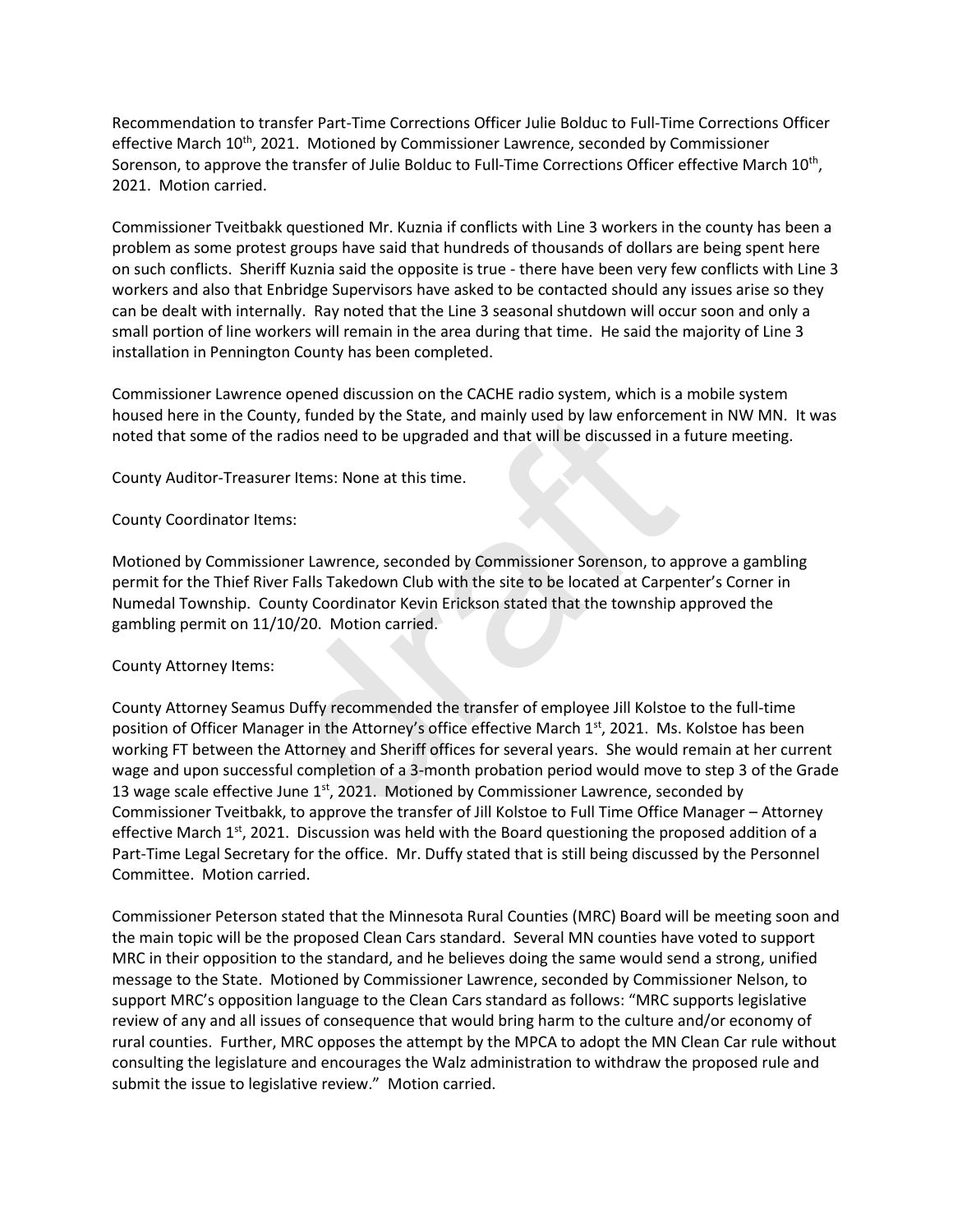Recommendation to transfer Part-Time Corrections Officer Julie Bolduc to Full-Time Corrections Officer effective March 10<sup>th</sup>, 2021. Motioned by Commissioner Lawrence, seconded by Commissioner Sorenson, to approve the transfer of Julie Bolduc to Full-Time Corrections Officer effective March  $10^{\text{th}}$ , 2021. Motion carried.

Commissioner Tveitbakk questioned Mr. Kuznia if conflicts with Line 3 workers in the county has been a problem as some protest groups have said that hundreds of thousands of dollars are being spent here on such conflicts. Sheriff Kuznia said the opposite is true - there have been very few conflicts with Line 3 workers and also that Enbridge Supervisors have asked to be contacted should any issues arise so they can be dealt with internally. Ray noted that the Line 3 seasonal shutdown will occur soon and only a small portion of line workers will remain in the area during that time. He said the majority of Line 3 installation in Pennington County has been completed.

Commissioner Lawrence opened discussion on the CACHE radio system, which is a mobile system housed here in the County, funded by the State, and mainly used by law enforcement in NW MN. It was noted that some of the radios need to be upgraded and that will be discussed in a future meeting.

County Auditor-Treasurer Items: None at this time.

#### County Coordinator Items:

Motioned by Commissioner Lawrence, seconded by Commissioner Sorenson, to approve a gambling permit for the Thief River Falls Takedown Club with the site to be located at Carpenter's Corner in Numedal Township. County Coordinator Kevin Erickson stated that the township approved the gambling permit on 11/10/20. Motion carried.

#### County Attorney Items:

County Attorney Seamus Duffy recommended the transfer of employee Jill Kolstoe to the full-time position of Officer Manager in the Attorney's office effective March  $1^{st}$ , 2021. Ms. Kolstoe has been working FT between the Attorney and Sheriff offices for several years. She would remain at her current wage and upon successful completion of a 3-month probation period would move to step 3 of the Grade 13 wage scale effective June  $1<sup>st</sup>$ , 2021. Motioned by Commissioner Lawrence, seconded by Commissioner Tveitbakk, to approve the transfer of Jill Kolstoe to Full Time Office Manager – Attorney effective March  $1^{st}$ , 2021. Discussion was held with the Board questioning the proposed addition of a Part-Time Legal Secretary for the office. Mr. Duffy stated that is still being discussed by the Personnel Committee. Motion carried. unty, funded by the State, and mainly used by law enforcem<br>
radios need to be upgraded and that will be discussed in a<br>
rer Items: None at this time.<br>
ersetted and that will be discussed in a<br>
rer Items: None at this time.

Commissioner Peterson stated that the Minnesota Rural Counties (MRC) Board will be meeting soon and the main topic will be the proposed Clean Cars standard. Several MN counties have voted to support MRC in their opposition to the standard, and he believes doing the same would send a strong, unified message to the State. Motioned by Commissioner Lawrence, seconded by Commissioner Nelson, to support MRC's opposition language to the Clean Cars standard as follows: "MRC supports legislative review of any and all issues of consequence that would bring harm to the culture and/or economy of rural counties. Further, MRC opposes the attempt by the MPCA to adopt the MN Clean Car rule without consulting the legislature and encourages the Walz administration to withdraw the proposed rule and submit the issue to legislative review." Motion carried.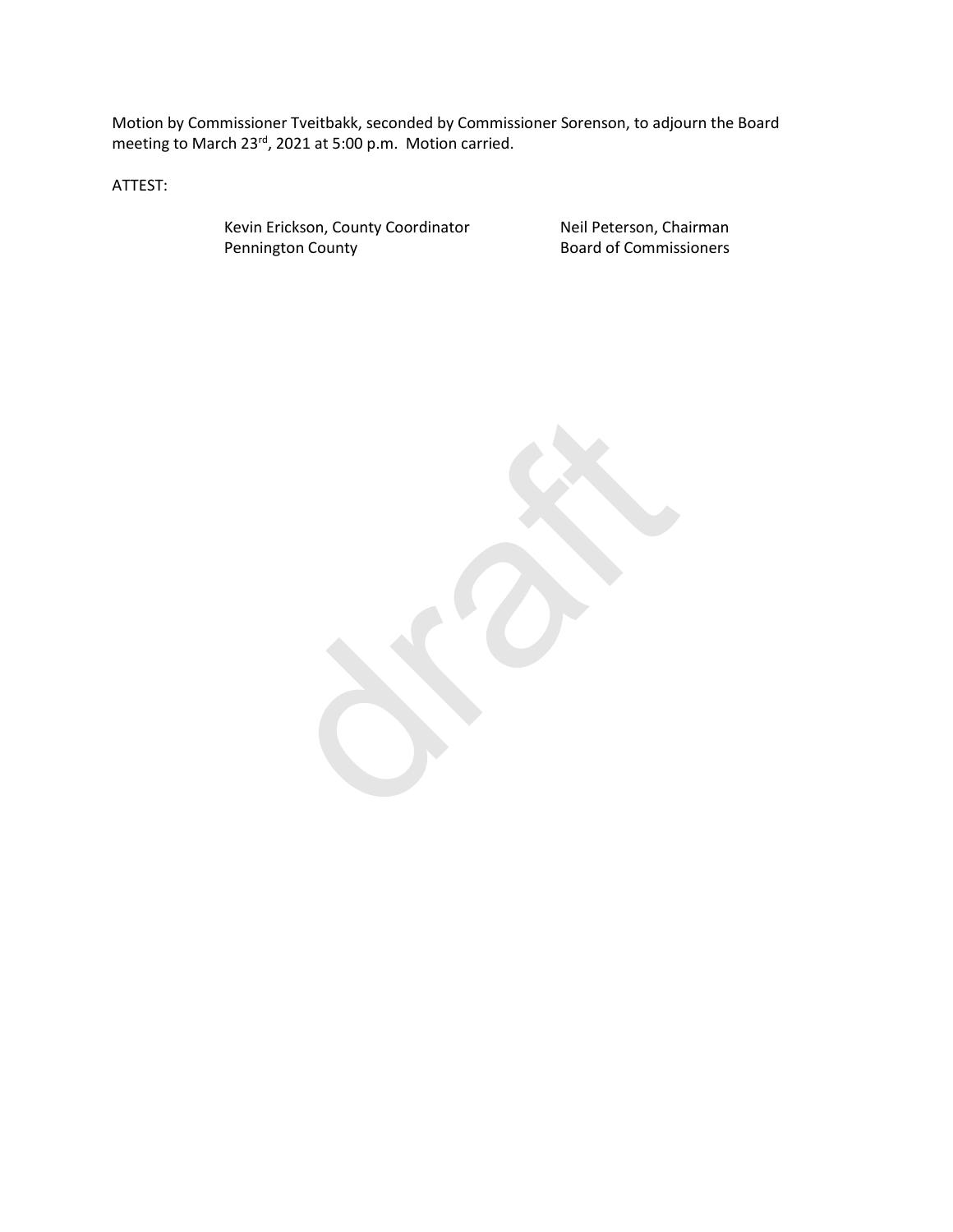Motion by Commissioner Tveitbakk, seconded by Commissioner Sorenson, to adjourn the Board meeting to March 23<sup>rd</sup>, 2021 at 5:00 p.m. Motion carried.

ATTEST:

Kevin Erickson, County Coordinator **Neil Peterson, Chairman**<br> **Pennington County Coordinator Board of Commissioners** 

**Board of Commissioners** 

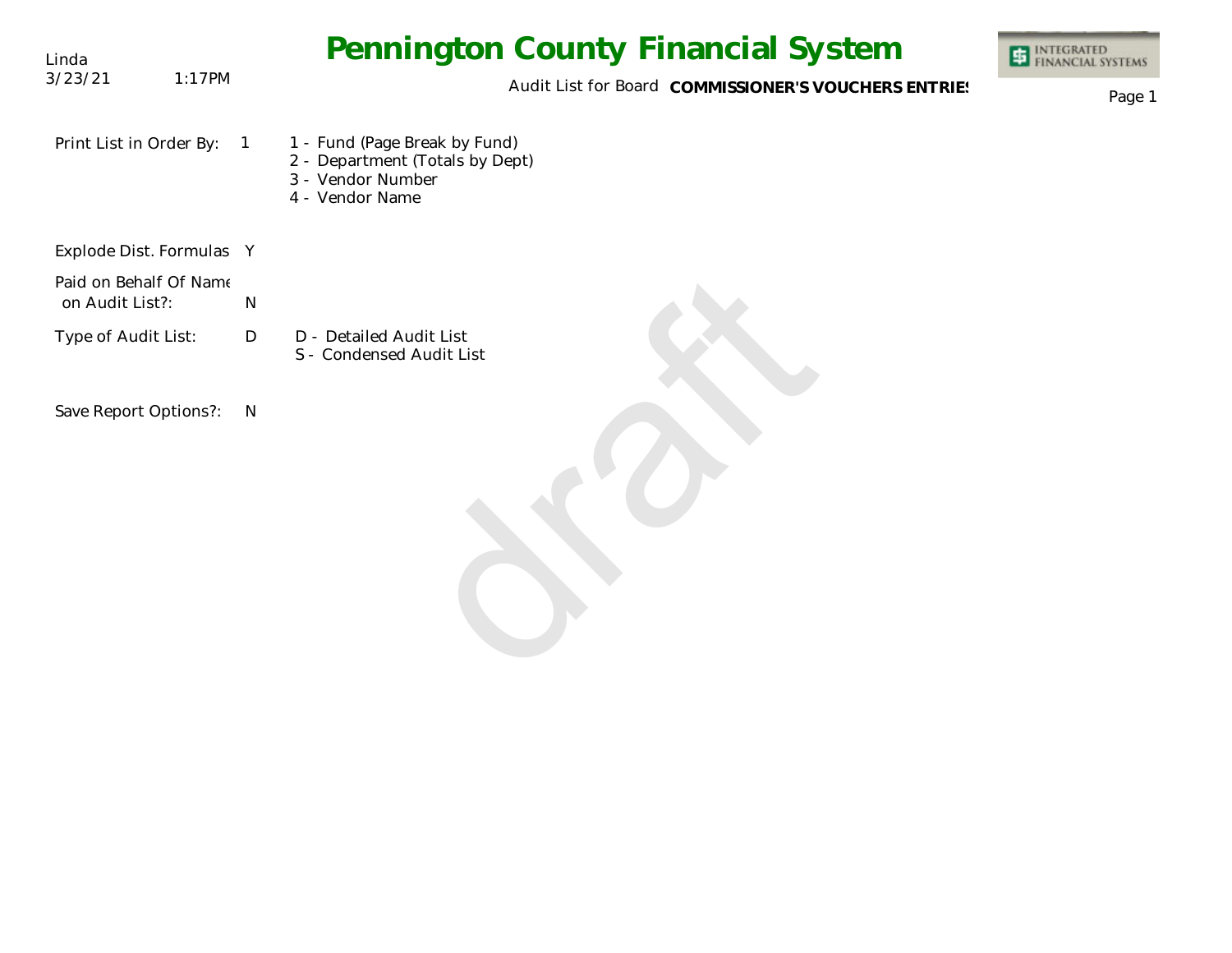| Linda                                     | <b>Pennington County Financial System</b>                                                                                  | <b>ET INTEGRATED</b><br>FINANCIAL SYSTEMS |
|-------------------------------------------|----------------------------------------------------------------------------------------------------------------------------|-------------------------------------------|
| 3/23/21<br>1:17PM                         | Audit List for Board COMMISSIONER'S VOUCHERS ENTRIES                                                                       | Page 1                                    |
| Print List in Order By:                   | 1 - Fund (Page Break by Fund)<br>$\overline{1}$<br>2 - Department (Totals by Dept)<br>3 - Vendor Number<br>4 - Vendor Name |                                           |
| Explode Dist. Formulas Y                  |                                                                                                                            |                                           |
| Paid on Behalf Of Name<br>on Audit List?: | $\mathsf{N}$                                                                                                               |                                           |
| Type of Audit List:                       | D - Detailed Audit List<br>D<br>S - Condensed Audit List                                                                   |                                           |
| Save Report Options?:                     | $\mathsf{N}$                                                                                                               |                                           |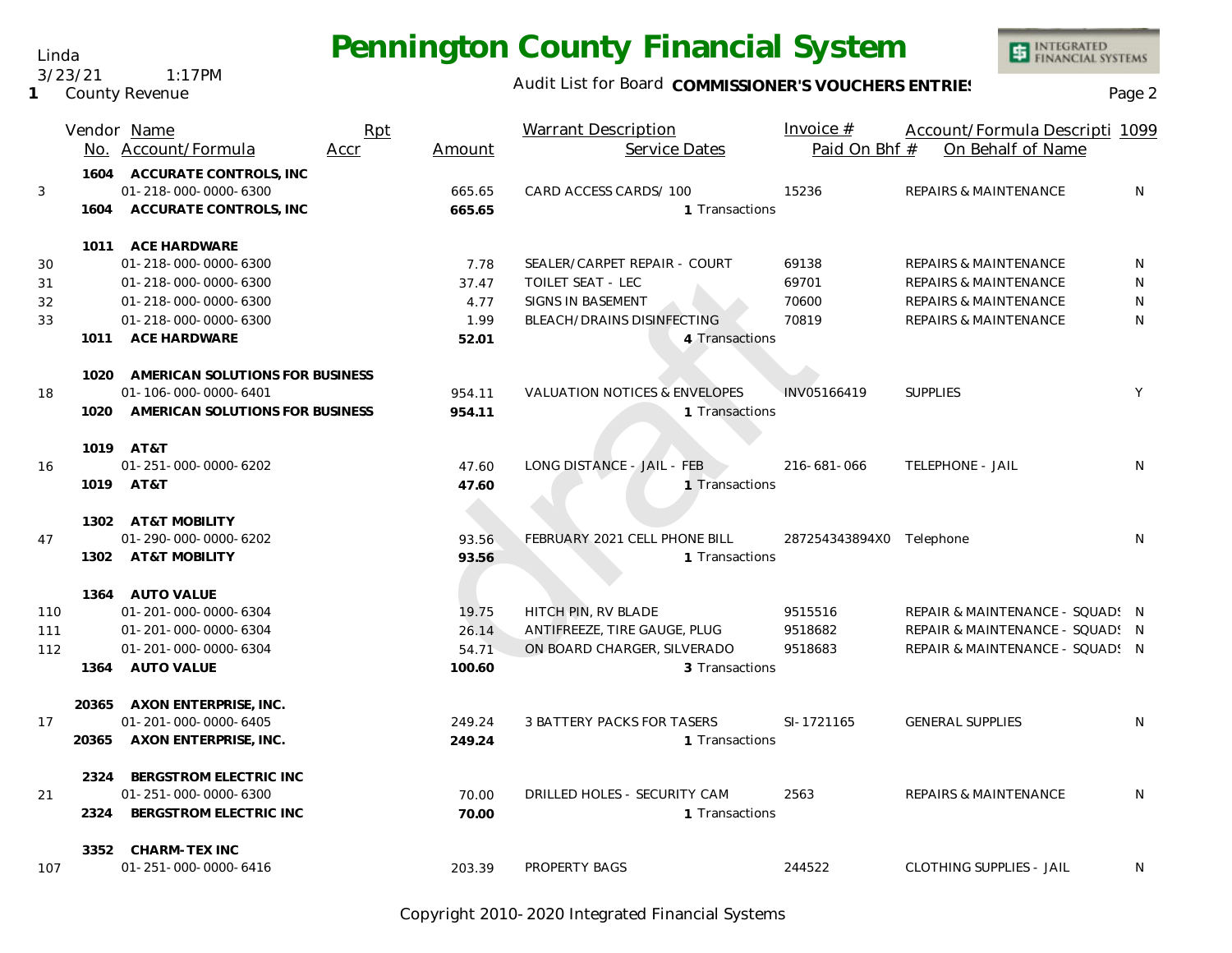Linda 3/23/21 1:17PM

**1** County Revenue

#### Audit List for Board COMMISSIONER'S VOUCHERS ENTRIES<br>Page 2

|     |       | Vendor Name                          | Rpt  |        | <b>Warrant Description</b>               | Invoice $#$              | Account/Formula Descripti 1099   |              |
|-----|-------|--------------------------------------|------|--------|------------------------------------------|--------------------------|----------------------------------|--------------|
|     |       | No. Account/Formula                  | Accr | Amount | Service Dates                            | Paid On Bhf #            | On Behalf of Name                |              |
|     |       | 1604 ACCURATE CONTROLS, INC          |      |        |                                          |                          |                                  |              |
| 3   |       | 01-218-000-0000-6300                 |      | 665.65 | CARD ACCESS CARDS/ 100                   | 15236                    | <b>REPAIRS &amp; MAINTENANCE</b> | N            |
|     | 1604  | ACCURATE CONTROLS, INC               |      | 665.65 | 1 Transactions                           |                          |                                  |              |
|     |       | 1011 ACE HARDWARE                    |      |        |                                          |                          |                                  |              |
| 30  |       | 01-218-000-0000-6300                 |      | 7.78   | SEALER/CARPET REPAIR - COURT             | 69138                    | <b>REPAIRS &amp; MAINTENANCE</b> | N            |
| 31  |       | 01-218-000-0000-6300                 |      | 37.47  | <b>TOILET SEAT - LEC</b>                 | 69701                    | <b>REPAIRS &amp; MAINTENANCE</b> | N            |
| 32  |       | 01-218-000-0000-6300                 |      | 4.77   | SIGNS IN BASEMENT                        | 70600                    | <b>REPAIRS &amp; MAINTENANCE</b> | $\mathsf{N}$ |
| 33  |       | 01-218-000-0000-6300                 |      | 1.99   | BLEACH/DRAINS DISINFECTING               | 70819                    | <b>REPAIRS &amp; MAINTENANCE</b> | N            |
|     |       | 1011 ACE HARDWARE                    |      | 52.01  | 4 Transactions                           |                          |                                  |              |
|     |       | 1020 AMERICAN SOLUTIONS FOR BUSINESS |      |        |                                          |                          |                                  |              |
| 18  |       | 01-106-000-0000-6401                 |      | 954.11 | <b>VALUATION NOTICES &amp; ENVELOPES</b> | INV05166419              | <b>SUPPLIES</b>                  | Y            |
|     |       | 1020 AMERICAN SOLUTIONS FOR BUSINESS |      | 954.11 | 1 Transactions                           |                          |                                  |              |
|     |       | 1019 AT&T                            |      |        |                                          |                          |                                  |              |
| 16  |       | 01-251-000-0000-6202                 |      | 47.60  | LONG DISTANCE - JAIL - FEB               | 216-681-066              | <b>TELEPHONE - JAIL</b>          | N            |
|     |       | 1019 AT&T                            |      | 47.60  | 1 Transactions                           |                          |                                  |              |
|     |       | 1302 AT&T MOBILITY                   |      |        |                                          |                          |                                  |              |
| 47  |       | 01-290-000-0000-6202                 |      | 93.56  | FEBRUARY 2021 CELL PHONE BILL            | 287254343894X0 Telephone |                                  | N            |
|     |       | 1302 AT&T MOBILITY                   |      | 93.56  | 1 Transactions                           |                          |                                  |              |
|     |       | 1364 AUTO VALUE                      |      |        |                                          |                          |                                  |              |
| 110 |       | 01-201-000-0000-6304                 |      | 19.75  | HITCH PIN, RV BLADE                      | 9515516                  | REPAIR & MAINTENANCE - SQUAD: N  |              |
| 111 |       | 01-201-000-0000-6304                 |      | 26.14  | ANTIFREEZE, TIRE GAUGE, PLUG             | 9518682                  | REPAIR & MAINTENANCE - SQUAD! N  |              |
| 112 |       | 01-201-000-0000-6304                 |      | 54.71  | ON BOARD CHARGER, SILVERADO              | 9518683                  | REPAIR & MAINTENANCE - SQUAD! N  |              |
|     | 1364  | AUTO VALUE                           |      | 100.60 | 3 Transactions                           |                          |                                  |              |
|     |       | 20365 AXON ENTERPRISE, INC.          |      |        |                                          |                          |                                  |              |
| 17  |       | 01-201-000-0000-6405                 |      | 249.24 | 3 BATTERY PACKS FOR TASERS               | SI-1721165               | <b>GENERAL SUPPLIES</b>          | N            |
|     | 20365 | AXON ENTERPRISE, INC.                |      | 249.24 | 1 Transactions                           |                          |                                  |              |
|     | 2324  | BERGSTROM ELECTRIC INC               |      |        |                                          |                          |                                  |              |
| 21  |       | 01-251-000-0000-6300                 |      | 70.00  | DRILLED HOLES - SECURITY CAM             | 2563                     | <b>REPAIRS &amp; MAINTENANCE</b> | N            |
|     | 2324  | BERGSTROM ELECTRIC INC               |      | 70.00  | 1 Transactions                           |                          |                                  |              |
|     |       | 3352 CHARM-TEX INC                   |      |        |                                          |                          |                                  |              |
| 107 |       | 01-251-000-0000-6416                 |      | 203.39 | PROPERTY BAGS                            | 244522                   | <b>CLOTHING SUPPLIES - JAIL</b>  | N            |

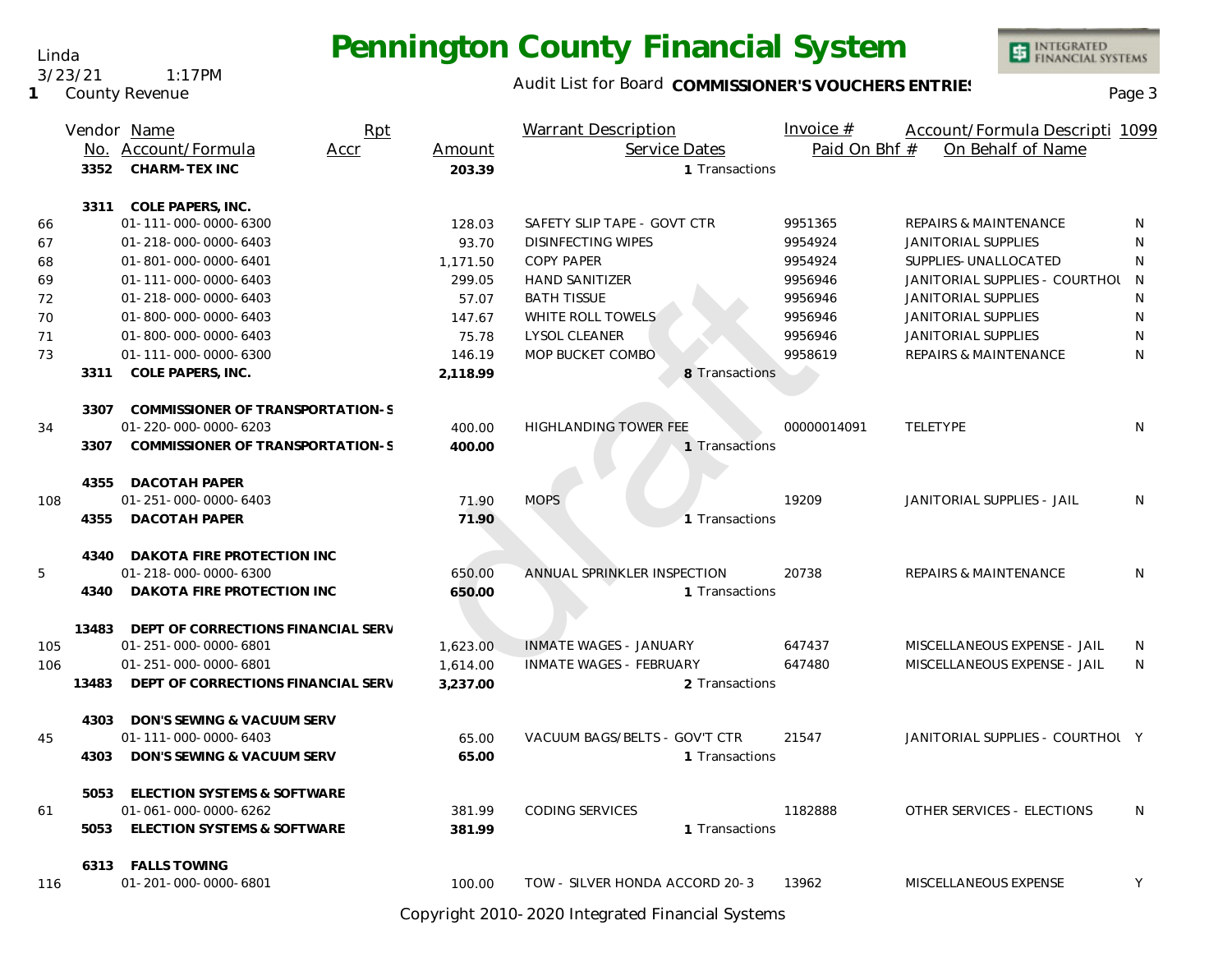Linda 3/23/21 1:17PM

**1** County Revenue

### Audit List for Board COMMISSIONER'S VOUCHERS ENTRIES<br>Page 3

INTEGRATED<br>FINANCIAL SYSTEMS

|     |       | Vendor Name                        | Rpt  |          | <b>Warrant Description</b>     | Invoice #     | Account/Formula Descripti 1099   |   |
|-----|-------|------------------------------------|------|----------|--------------------------------|---------------|----------------------------------|---|
|     |       | No. Account/Formula                | Accr | Amount   | Service Dates                  | Paid On Bhf # | On Behalf of Name                |   |
|     | 3352  | <b>CHARM-TEX INC</b>               |      | 203.39   | 1 Transactions                 |               |                                  |   |
|     |       | 3311 COLE PAPERS, INC.             |      |          |                                |               |                                  |   |
| 66  |       | 01-111-000-0000-6300               |      | 128.03   | SAFETY SLIP TAPE - GOVT CTR    | 9951365       | <b>REPAIRS &amp; MAINTENANCE</b> | N |
| 67  |       | 01-218-000-0000-6403               |      | 93.70    | <b>DISINFECTING WIPES</b>      | 9954924       | <b>JANITORIAL SUPPLIES</b>       | N |
| 68  |       | 01-801-000-0000-6401               |      | 1,171.50 | <b>COPY PAPER</b>              | 9954924       | SUPPLIES-UNALLOCATED             | N |
| 69  |       | 01-111-000-0000-6403               |      | 299.05   | <b>HAND SANITIZER</b>          | 9956946       | JANITORIAL SUPPLIES - COURTHOL N |   |
| 72  |       | 01-218-000-0000-6403               |      | 57.07    | <b>BATH TISSUE</b>             | 9956946       | <b>JANITORIAL SUPPLIES</b>       | N |
| 70  |       | 01-800-000-0000-6403               |      | 147.67   | WHITE ROLL TOWELS              | 9956946       | JANITORIAL SUPPLIES              | N |
| 71  |       | 01-800-000-0000-6403               |      | 75.78    | <b>LYSOL CLEANER</b>           | 9956946       | JANITORIAL SUPPLIES              | N |
| 73  |       | 01-111-000-0000-6300               |      | 146.19   | MOP BUCKET COMBO               | 9958619       | <b>REPAIRS &amp; MAINTENANCE</b> | N |
|     |       | 3311 COLE PAPERS, INC.             |      | 2,118.99 | 8 Transactions                 |               |                                  |   |
|     | 3307  | COMMISSIONER OF TRANSPORTATION-S   |      |          |                                |               |                                  |   |
| 34  |       | 01-220-000-0000-6203               |      | 400.00   | <b>HIGHLANDING TOWER FEE</b>   | 00000014091   | TELETYPE                         | N |
|     | 3307  | COMMISSIONER OF TRANSPORTATION-S   |      | 400.00   | 1 Transactions                 |               |                                  |   |
|     | 4355  | DACOTAH PAPER                      |      |          |                                |               |                                  |   |
| 108 |       | 01-251-000-0000-6403               |      | 71.90    | <b>MOPS</b>                    | 19209         | JANITORIAL SUPPLIES - JAIL       | N |
|     | 4355  | <b>DACOTAH PAPER</b>               |      | 71.90    | 1 Transactions                 |               |                                  |   |
|     | 4340  | DAKOTA FIRE PROTECTION INC         |      |          |                                |               |                                  |   |
| 5   |       | 01-218-000-0000-6300               |      | 650.00   | ANNUAL SPRINKLER INSPECTION    | 20738         | <b>REPAIRS &amp; MAINTENANCE</b> | N |
|     |       | 4340 DAKOTA FIRE PROTECTION INC    |      | 650.00   | 1 Transactions                 |               |                                  |   |
|     | 13483 | DEPT OF CORRECTIONS FINANCIAL SERV |      |          |                                |               |                                  |   |
| 105 |       | 01-251-000-0000-6801               |      | 1,623.00 | <b>INMATE WAGES - JANUARY</b>  | 647437        | MISCELLANEOUS EXPENSE - JAIL     | N |
| 106 |       | 01-251-000-0000-6801               |      | 1,614.00 | <b>INMATE WAGES - FEBRUARY</b> | 647480        | MISCELLANEOUS EXPENSE - JAIL     | N |
|     | 13483 | DEPT OF CORRECTIONS FINANCIAL SERV |      | 3,237.00 | 2 Transactions                 |               |                                  |   |
|     | 4303  | DON'S SEWING & VACUUM SERV         |      |          |                                |               |                                  |   |
| 45  |       | 01-111-000-0000-6403               |      | 65.00    | VACUUM BAGS/BELTS - GOV'T CTR  | 21547         | JANITORIAL SUPPLIES - COURTHOL Y |   |
|     | 4303  | DON'S SEWING & VACUUM SERV         |      | 65.00    | 1 Transactions                 |               |                                  |   |
|     |       | 5053 ELECTION SYSTEMS & SOFTWARE   |      |          |                                |               |                                  |   |
| 61  |       | 01-061-000-0000-6262               |      | 381.99   | <b>CODING SERVICES</b>         | 1182888       | OTHER SERVICES - ELECTIONS       | N |
|     |       | 5053 ELECTION SYSTEMS & SOFTWARE   |      | 381.99   | 1 Transactions                 |               |                                  |   |
|     |       | 6313 FALLS TOWING                  |      |          |                                |               |                                  |   |
| 116 |       | 01-201-000-0000-6801               |      | 100.00   | TOW - SILVER HONDA ACCORD 20-3 | 13962         | MISCELLANEOUS EXPENSE            | Y |

Copyright 2010-2020 Integrated Financial Systems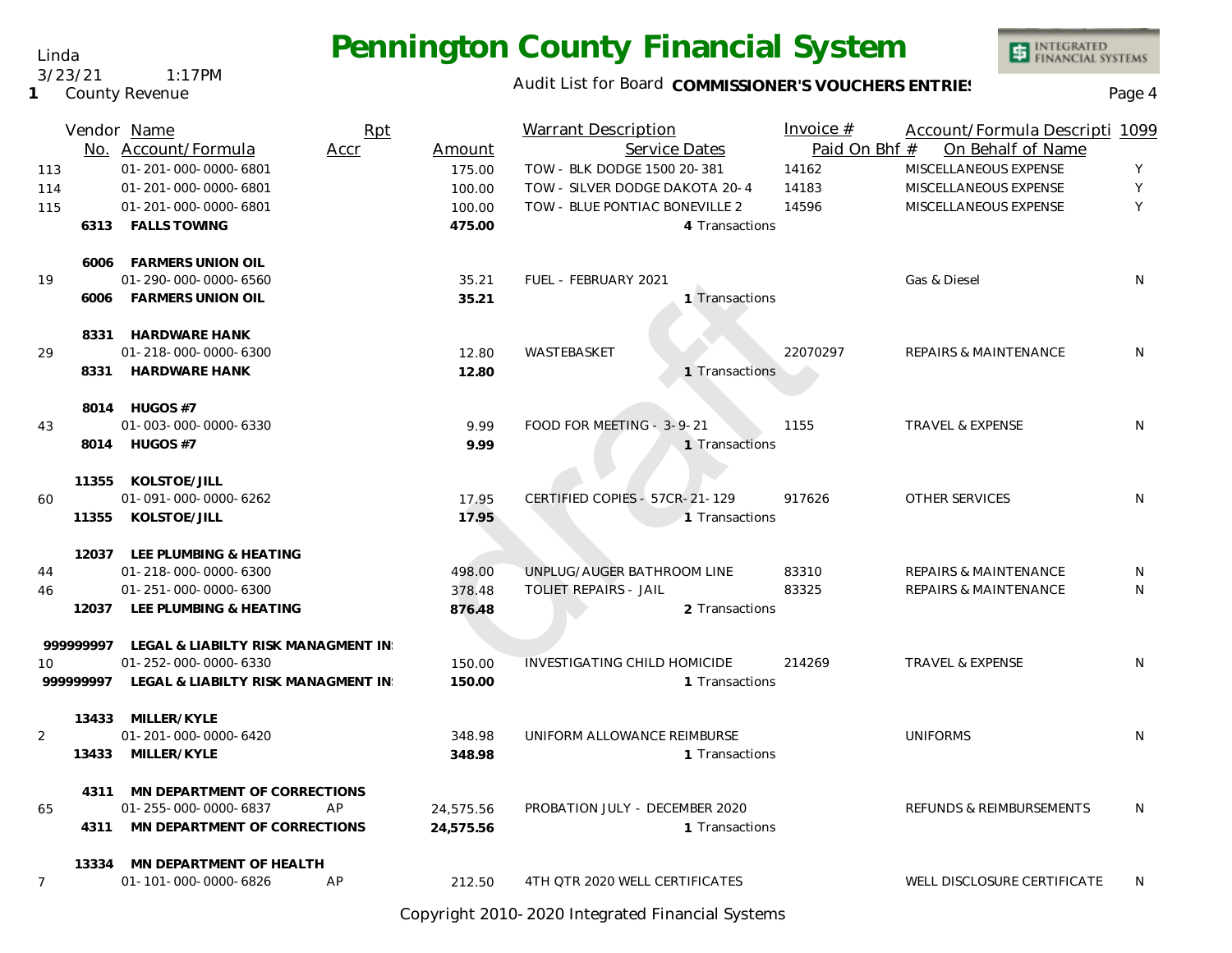### Audit List for Board COMMISSIONER'S VOUCHERS ENTRIES<br>Page 4

INTEGRATED<br>FINANCIAL SYSTEMS

| 113<br>114<br>115 |           | Vendor Name<br>No. Account/Formula<br>01-201-000-0000-6801<br>01-201-000-0000-6801<br>01-201-000-0000-6801 | Rpt<br>Accr | Amount<br>175.00<br>100.00<br>100.00 | <b>Warrant Description</b><br>Service Dates<br>TOW - BLK DODGE 1500 20-381<br>TOW - SILVER DODGE DAKOTA 20-4<br>TOW - BLUE PONTIAC BONEVILLE 2 |                | Invoice $#$<br>Paid On Bhf #<br>14162<br>14183<br>14596 | Account/Formula Descripti 1099<br>On Behalf of Name<br>MISCELLANEOUS EXPENSE<br>MISCELLANEOUS EXPENSE<br>MISCELLANEOUS EXPENSE | Υ<br>Υ<br>Y  |
|-------------------|-----------|------------------------------------------------------------------------------------------------------------|-------------|--------------------------------------|------------------------------------------------------------------------------------------------------------------------------------------------|----------------|---------------------------------------------------------|--------------------------------------------------------------------------------------------------------------------------------|--------------|
|                   |           | 6313 FALLS TOWING<br>6006 FARMERS UNION OIL                                                                |             | 475.00                               |                                                                                                                                                | 4 Transactions |                                                         |                                                                                                                                |              |
| 19                | 6006      | 01-290-000-0000-6560<br>FARMERS UNION OIL                                                                  |             | 35.21<br>35.21                       | FUEL - FEBRUARY 2021                                                                                                                           | 1 Transactions |                                                         | Gas & Diesel                                                                                                                   | N            |
| 29                |           | 8331 HARDWARE HANK<br>01-218-000-0000-6300<br>8331 HARDWARE HANK                                           |             | 12.80<br>12.80                       | WASTEBASKET                                                                                                                                    | 1 Transactions | 22070297                                                | REPAIRS & MAINTENANCE                                                                                                          | N            |
| 43                |           | 8014 HUGOS #7<br>01-003-000-0000-6330<br>8014 HUGOS #7                                                     |             | 9.99<br>9.99                         | FOOD FOR MEETING - 3-9-21                                                                                                                      | 1 Transactions | 1155                                                    | <b>TRAVEL &amp; EXPENSE</b>                                                                                                    | N            |
| 60                |           | 11355 KOLSTOE/JILL<br>01-091-000-0000-6262<br>11355 KOLSTOE/JILL                                           |             | 17.95<br>17.95                       | CERTIFIED COPIES - 57CR-21-129                                                                                                                 | 1 Transactions | 917626                                                  | OTHER SERVICES                                                                                                                 | N            |
| 44<br>46          | 12037     | 12037 LEE PLUMBING & HEATING<br>01-218-000-0000-6300<br>01-251-000-0000-6300<br>LEE PLUMBING & HEATING     |             | 498.00<br>378.48<br>876.48           | UNPLUG/AUGER BATHROOM LINE<br><b>TOLIET REPAIRS - JAIL</b>                                                                                     | 2 Transactions | 83310<br>83325                                          | <b>REPAIRS &amp; MAINTENANCE</b><br><b>REPAIRS &amp; MAINTENANCE</b>                                                           | N<br>N       |
| 10                | 999999997 | LEGAL & LIABILTY RISK MANAGMENT IN<br>01-252-000-0000-6330<br>999999997 LEGAL & LIABILTY RISK MANAGMENT IN |             | 150.00<br>150.00                     | <b>INVESTIGATING CHILD HOMICIDE</b>                                                                                                            | 1 Transactions | 214269                                                  | <b>TRAVEL &amp; EXPENSE</b>                                                                                                    | N            |
| $\overline{2}$    | 13433     | 13433 MILLER/KYLE<br>01-201-000-0000-6420<br>MILLER/KYLE                                                   |             | 348.98<br>348.98                     | UNIFORM ALLOWANCE REIMBURSE                                                                                                                    | 1 Transactions |                                                         | <b>UNIFORMS</b>                                                                                                                | N            |
| 65                |           | 4311 MN DEPARTMENT OF CORRECTIONS<br>01-255-000-0000-6837<br>4311 MN DEPARTMENT OF CORRECTIONS             | AP          | 24,575.56<br>24,575.56               | PROBATION JULY - DECEMBER 2020                                                                                                                 | 1 Transactions |                                                         | REFUNDS & REIMBURSEMENTS                                                                                                       | N            |
| $\overline{7}$    |           | 13334 MN DEPARTMENT OF HEALTH<br>01-101-000-0000-6826                                                      | AP          | 212.50                               | 4TH QTR 2020 WELL CERTIFICATES                                                                                                                 |                |                                                         | WELL DISCLOSURE CERTIFICATE                                                                                                    | <sup>N</sup> |

Copyright 2010-2020 Integrated Financial Systems

**1** County Revenue

#### Linda 3/23/21 1:17PM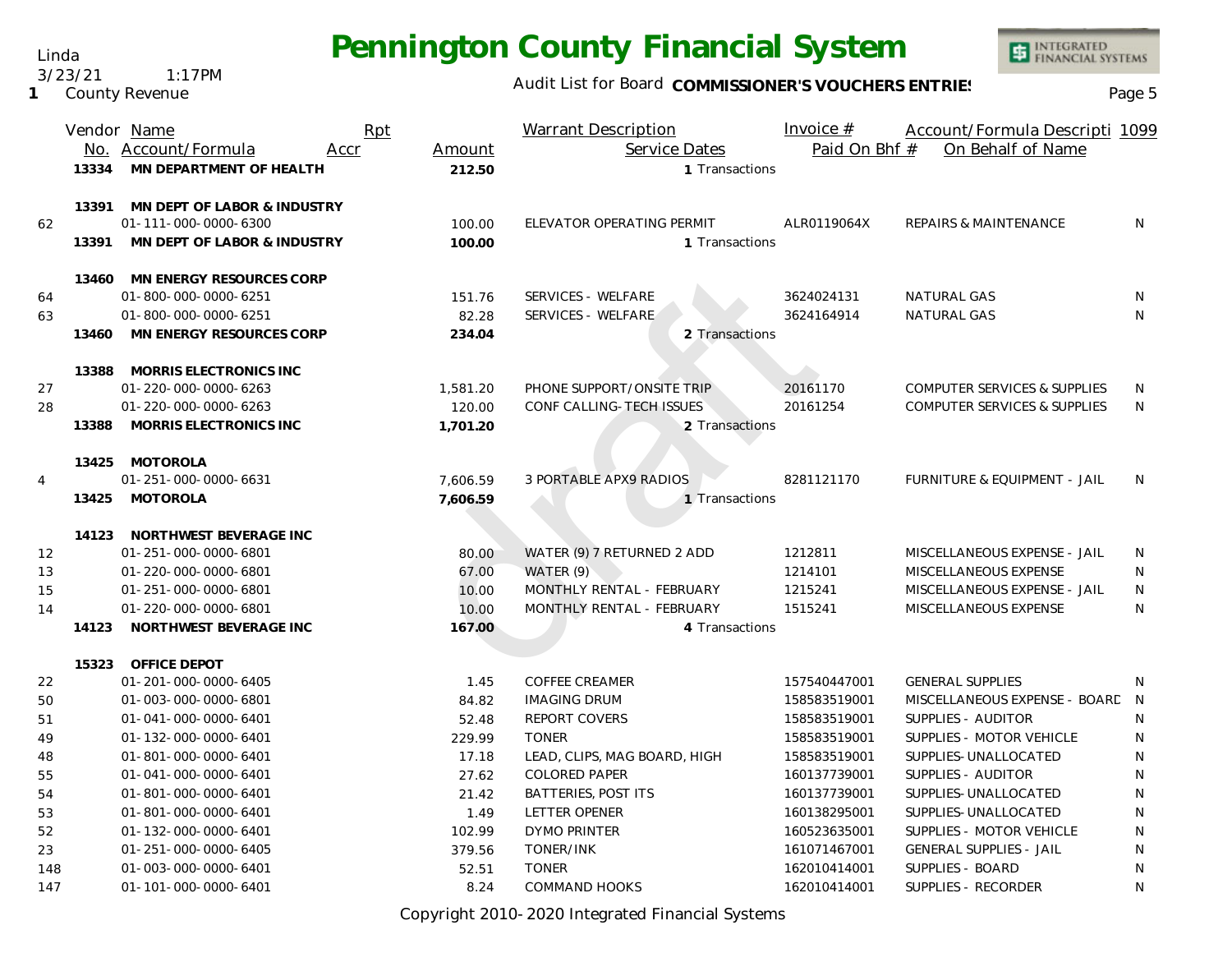Linda 3/23/21 1:17PM

**1** County Revenue

### Audit List for Board COMMISSIONER'S VOUCHERS ENTRIES<br>Page 5

INTEGRATED<br>FINANCIAL SYSTEMS

|                | Vendor Name |                              | Rpt  |          | <b>Warrant Description</b>    |                | Invoice $#$   | Account/Formula Descripti 1099          |                |
|----------------|-------------|------------------------------|------|----------|-------------------------------|----------------|---------------|-----------------------------------------|----------------|
|                |             | No. Account/Formula          | Accr | Amount   | Service Dates                 |                | Paid On Bhf # | On Behalf of Name                       |                |
|                | 13334       | MN DEPARTMENT OF HEALTH      |      | 212.50   |                               | 1 Transactions |               |                                         |                |
|                | 13391       | MN DEPT OF LABOR & INDUSTRY  |      |          |                               |                |               |                                         |                |
| 62             |             | 01-111-000-0000-6300         |      | 100.00   | ELEVATOR OPERATING PERMIT     |                | ALR0119064X   | <b>REPAIRS &amp; MAINTENANCE</b>        | N              |
|                | 13391       | MN DEPT OF LABOR & INDUSTRY  |      | 100.00   |                               | 1 Transactions |               |                                         |                |
|                | 13460       | MN ENERGY RESOURCES CORP     |      |          |                               |                |               |                                         |                |
| 64             |             | 01-800-000-0000-6251         |      | 151.76   | SERVICES - WELFARE            |                | 3624024131    | NATURAL GAS                             | N              |
| 63             |             | 01-800-000-0000-6251         |      | 82.28    | SERVICES - WELFARE            |                | 3624164914    | <b>NATURAL GAS</b>                      | N              |
|                | 13460       | MN ENERGY RESOURCES CORP     |      | 234.04   |                               | 2 Transactions |               |                                         |                |
|                | 13388       | MORRIS ELECTRONICS INC       |      |          |                               |                |               |                                         |                |
| 27             |             | 01-220-000-0000-6263         |      | 1,581.20 | PHONE SUPPORT/ONSITE TRIP     |                | 20161170      | <b>COMPUTER SERVICES &amp; SUPPLIES</b> | N              |
| 28             |             | 01-220-000-0000-6263         |      | 120.00   | CONF CALLING-TECH ISSUES      |                | 20161254      | <b>COMPUTER SERVICES &amp; SUPPLIES</b> | N              |
|                | 13388       | MORRIS ELECTRONICS INC       |      | 1,701.20 |                               | 2 Transactions |               |                                         |                |
|                | 13425       | MOTOROLA                     |      |          |                               |                |               |                                         |                |
| $\overline{4}$ |             | 01-251-000-0000-6631         |      | 7,606.59 | <b>3 PORTABLE APX9 RADIOS</b> |                | 8281121170    | FURNITURE & EQUIPMENT - JAIL            | N              |
|                |             | 13425 MOTOROLA               |      | 7,606.59 |                               | 1 Transactions |               |                                         |                |
|                |             | 14123 NORTHWEST BEVERAGE INC |      |          |                               |                |               |                                         |                |
| 12             |             | 01-251-000-0000-6801         |      | 80.00    | WATER (9) 7 RETURNED 2 ADD    |                | 1212811       | MISCELLANEOUS EXPENSE - JAIL            | N              |
| 13             |             | 01-220-000-0000-6801         |      | 67.00    | WATER (9)                     |                | 1214101       | MISCELLANEOUS EXPENSE                   | N              |
| 15             |             | 01-251-000-0000-6801         |      | 10.00    | MONTHLY RENTAL - FEBRUARY     |                | 1215241       | MISCELLANEOUS EXPENSE - JAIL            | N              |
| 14             |             | 01-220-000-0000-6801         |      | 10.00    | MONTHLY RENTAL - FEBRUARY     |                | 1515241       | MISCELLANEOUS EXPENSE                   | N              |
|                | 14123       | NORTHWEST BEVERAGE INC       |      | 167.00   |                               | 4 Transactions |               |                                         |                |
|                | 15323       | OFFICE DEPOT                 |      |          |                               |                |               |                                         |                |
| 22             |             | 01-201-000-0000-6405         |      | 1.45     | <b>COFFEE CREAMER</b>         |                | 157540447001  | <b>GENERAL SUPPLIES</b>                 | N.             |
| 50             |             | 01-003-000-0000-6801         |      | 84.82    | <b>IMAGING DRUM</b>           |                | 158583519001  | MISCELLANEOUS EXPENSE - BOARD           | $\overline{N}$ |
| 51             |             | 01-041-000-0000-6401         |      | 52.48    | REPORT COVERS                 |                | 158583519001  | SUPPLIES - AUDITOR                      | N              |
| 49             |             | 01-132-000-0000-6401         |      | 229.99   | <b>TONER</b>                  |                | 158583519001  | SUPPLIES - MOTOR VEHICLE                | N              |
| 48             |             | 01-801-000-0000-6401         |      | 17.18    | LEAD, CLIPS, MAG BOARD, HIGH  |                | 158583519001  | SUPPLIES-UNALLOCATED                    | N              |
| 55             |             | 01-041-000-0000-6401         |      | 27.62    | <b>COLORED PAPER</b>          |                | 160137739001  | SUPPLIES - AUDITOR                      | N              |
| 54             |             | 01-801-000-0000-6401         |      | 21.42    | BATTERIES, POST ITS           |                | 160137739001  | SUPPLIES-UNALLOCATED                    | N              |
| 53             |             | 01-801-000-0000-6401         |      | 1.49     | LETTER OPENER                 |                | 160138295001  | SUPPLIES-UNALLOCATED                    | N              |
| 52             |             | 01-132-000-0000-6401         |      | 102.99   | <b>DYMO PRINTER</b>           |                | 160523635001  | SUPPLIES - MOTOR VEHICLE                | N              |
| 23             |             | 01-251-000-0000-6405         |      | 379.56   | TONER/INK                     |                | 161071467001  | <b>GENERAL SUPPLIES - JAIL</b>          | N              |
| 148            |             | 01-003-000-0000-6401         |      | 52.51    | <b>TONER</b>                  |                | 162010414001  | SUPPLIES - BOARD                        | N              |
| 147            |             | 01-101-000-0000-6401         |      | 8.24     | <b>COMMAND HOOKS</b>          |                | 162010414001  | SUPPLIES - RECORDER                     | N              |

Copyright 2010-2020 Integrated Financial Systems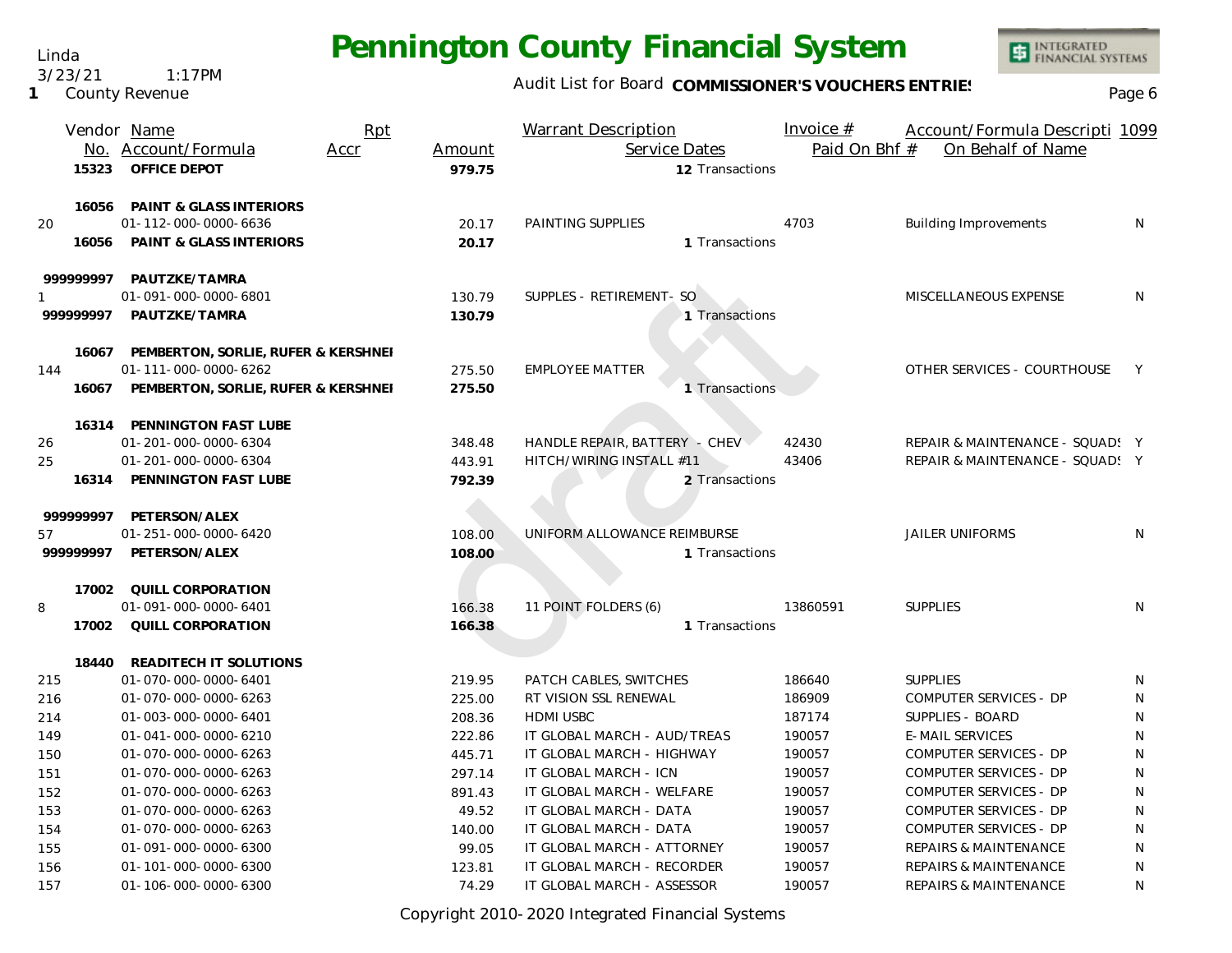Linda 3/23/21 1:17PM

**1** County Revenue

### Audit List for Board COMMISSIONER'S VOUCHERS ENTRIES<br>Page 6

INTEGRATED<br>FINANCIAL SYSTEMS

|          |       | Vendor Name                         | Rpt  |        | <b>Warrant Description</b>    | Invoice $#$   | Account/Formula Descripti 1099   |              |
|----------|-------|-------------------------------------|------|--------|-------------------------------|---------------|----------------------------------|--------------|
|          |       | No. Account/Formula                 | Accr | Amount | Service Dates                 | Paid On Bhf # | On Behalf of Name                |              |
|          | 15323 | OFFICE DEPOT                        |      | 979.75 | 12 Transactions               |               |                                  |              |
|          | 16056 | <b>PAINT &amp; GLASS INTERIORS</b>  |      |        |                               |               |                                  |              |
| 20       |       | 01-112-000-0000-6636                |      | 20.17  | PAINTING SUPPLIES             | 4703          | <b>Building Improvements</b>     | N            |
|          | 16056 | PAINT & GLASS INTERIORS             |      | 20.17  | 1 Transactions                |               |                                  |              |
| 99999997 |       | PAUTZKE/TAMRA                       |      |        |                               |               |                                  |              |
|          |       | 01-091-000-0000-6801                |      | 130.79 | SUPPLES - RETIREMENT- SO      |               | MISCELLANEOUS EXPENSE            | N            |
| 99999997 |       | PAUTZKE/TAMRA                       |      | 130.79 | 1 Transactions                |               |                                  |              |
|          | 16067 | PEMBERTON, SORLIE, RUFER & KERSHNEI |      |        |                               |               |                                  |              |
| 144      |       | 01-111-000-0000-6262                |      | 275.50 | <b>EMPLOYEE MATTER</b>        |               | OTHER SERVICES - COURTHOUSE      | Y            |
|          | 16067 | PEMBERTON, SORLIE, RUFER & KERSHNEI |      | 275.50 | 1 Transactions                |               |                                  |              |
|          | 16314 | PENNINGTON FAST LUBE                |      |        |                               |               |                                  |              |
| 26       |       | 01-201-000-0000-6304                |      | 348.48 | HANDLE REPAIR, BATTERY - CHEV | 42430         | REPAIR & MAINTENANCE - SQUAD! Y  |              |
| 25       |       | 01-201-000-0000-6304                |      | 443.91 | HITCH/WIRING INSTALL #11      | 43406         | REPAIR & MAINTENANCE - SQUAD! Y  |              |
|          | 16314 | PENNINGTON FAST LUBE                |      | 792.39 | 2 Transactions                |               |                                  |              |
| 99999997 |       | PETERSON/ALEX                       |      |        |                               |               |                                  |              |
| 57       |       | 01-251-000-0000-6420                |      | 108.00 | UNIFORM ALLOWANCE REIMBURSE   |               | <b>JAILER UNIFORMS</b>           | N            |
| 99999997 |       | PETERSON/ALEX                       |      | 108.00 | 1 Transactions                |               |                                  |              |
|          | 17002 | QUILL CORPORATION                   |      |        |                               |               |                                  |              |
| 8        |       | 01-091-000-0000-6401                |      | 166.38 | 11 POINT FOLDERS (6)          | 13860591      | <b>SUPPLIES</b>                  | N            |
|          | 17002 | QUILL CORPORATION                   |      | 166.38 | 1 Transactions                |               |                                  |              |
|          | 18440 | READITECH IT SOLUTIONS              |      |        |                               |               |                                  |              |
| 215      |       | 01-070-000-0000-6401                |      | 219.95 | PATCH CABLES, SWITCHES        | 186640        | <b>SUPPLIES</b>                  | N            |
| 216      |       | 01-070-000-0000-6263                |      | 225.00 | RT VISION SSL RENEWAL         | 186909        | COMPUTER SERVICES - DP           | N            |
| 214      |       | 01-003-000-0000-6401                |      | 208.36 | <b>HDMI USBC</b>              | 187174        | SUPPLIES - BOARD                 | N            |
| 149      |       | 01-041-000-0000-6210                |      | 222.86 | IT GLOBAL MARCH - AUD/TREAS   | 190057        | <b>E-MAIL SERVICES</b>           | N            |
| 150      |       | 01-070-000-0000-6263                |      | 445.71 | IT GLOBAL MARCH - HIGHWAY     | 190057        | COMPUTER SERVICES - DP           | $\mathsf{N}$ |
| 151      |       | 01-070-000-0000-6263                |      | 297.14 | IT GLOBAL MARCH - ICN         | 190057        | COMPUTER SERVICES - DP           | N            |
| 152      |       | 01-070-000-0000-6263                |      | 891.43 | IT GLOBAL MARCH - WELFARE     | 190057        | COMPUTER SERVICES - DP           | N            |
| 153      |       | 01-070-000-0000-6263                |      | 49.52  | IT GLOBAL MARCH - DATA        | 190057        | COMPUTER SERVICES - DP           | N            |
| 154      |       | 01-070-000-0000-6263                |      | 140.00 | IT GLOBAL MARCH - DATA        | 190057        | COMPUTER SERVICES - DP           | N            |
| 155      |       | 01-091-000-0000-6300                |      | 99.05  | IT GLOBAL MARCH - ATTORNEY    | 190057        | <b>REPAIRS &amp; MAINTENANCE</b> | N            |
| 156      |       | 01-101-000-0000-6300                |      | 123.81 | IT GLOBAL MARCH - RECORDER    | 190057        | <b>REPAIRS &amp; MAINTENANCE</b> | N            |
| 157      |       | 01-106-000-0000-6300                |      | 74.29  | IT GLOBAL MARCH - ASSESSOR    | 190057        | <b>REPAIRS &amp; MAINTENANCE</b> | N            |

Copyright 2010-2020 Integrated Financial Systems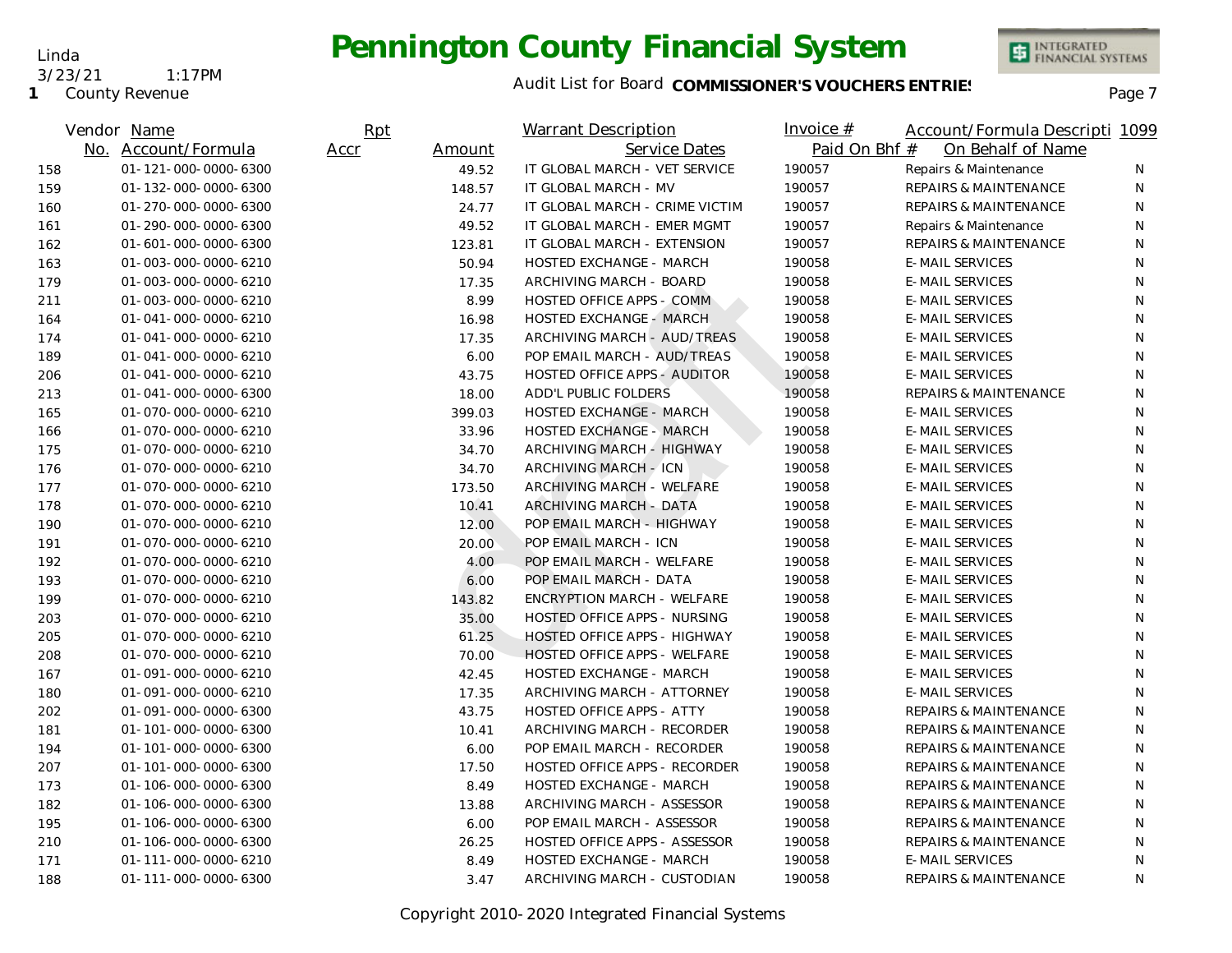#### **1** County Revenue 3/23/21 1:17PM

Linda

#### Audit List for Board COMMISSIONER'S VOUCHERS ENTRIES<br>Page 7

|     | Vendor Name          | Rpt  |        | <b>Warrant Description</b>          | Invoice $#$ | Account/Formula Descripti 1099     |    |
|-----|----------------------|------|--------|-------------------------------------|-------------|------------------------------------|----|
|     | No. Account/Formula  | Accr | Amount | Service Dates                       |             | Paid On Bhf #<br>On Behalf of Name |    |
| 158 | 01-121-000-0000-6300 |      | 49.52  | IT GLOBAL MARCH - VET SERVICE       | 190057      | Repairs & Maintenance              | N  |
| 159 | 01-132-000-0000-6300 |      | 148.57 | IT GLOBAL MARCH - MV                | 190057      | <b>REPAIRS &amp; MAINTENANCE</b>   | N  |
| 160 | 01-270-000-0000-6300 |      | 24.77  | IT GLOBAL MARCH - CRIME VICTIM      | 190057      | <b>REPAIRS &amp; MAINTENANCE</b>   | N  |
| 161 | 01-290-000-0000-6300 |      | 49.52  | IT GLOBAL MARCH - EMER MGMT         | 190057      | Repairs & Maintenance              | N  |
| 162 | 01-601-000-0000-6300 |      | 123.81 | IT GLOBAL MARCH - EXTENSION         | 190057      | <b>REPAIRS &amp; MAINTENANCE</b>   | N  |
| 163 | 01-003-000-0000-6210 |      | 50.94  | <b>HOSTED EXCHANGE - MARCH</b>      | 190058      | <b>E-MAIL SERVICES</b>             | N  |
| 179 | 01-003-000-0000-6210 |      | 17.35  | ARCHIVING MARCH - BOARD             | 190058      | <b>E-MAIL SERVICES</b>             | N. |
| 211 | 01-003-000-0000-6210 |      | 8.99   | HOSTED OFFICE APPS - COMM           | 190058      | <b>E-MAIL SERVICES</b>             | N  |
| 164 | 01-041-000-0000-6210 |      | 16.98  | HOSTED EXCHANGE - MARCH             | 190058      | <b>E-MAIL SERVICES</b>             | N  |
| 174 | 01-041-000-0000-6210 |      | 17.35  | ARCHIVING MARCH - AUD/TREAS         | 190058      | <b>E-MAIL SERVICES</b>             | N. |
| 189 | 01-041-000-0000-6210 |      | 6.00   | POP EMAIL MARCH - AUD/TREAS         | 190058      | <b>E-MAIL SERVICES</b>             | N  |
| 206 | 01-041-000-0000-6210 |      | 43.75  | <b>HOSTED OFFICE APPS - AUDITOR</b> | 190058      | <b>E-MAIL SERVICES</b>             | N  |
| 213 | 01-041-000-0000-6300 |      | 18.00  | ADD'L PUBLIC FOLDERS                | 190058      | <b>REPAIRS &amp; MAINTENANCE</b>   | N  |
| 165 | 01-070-000-0000-6210 |      | 399.03 | <b>HOSTED EXCHANGE - MARCH</b>      | 190058      | <b>E-MAIL SERVICES</b>             | N. |
| 166 | 01-070-000-0000-6210 |      | 33.96  | <b>HOSTED EXCHANGE - MARCH</b>      | 190058      | <b>E-MAIL SERVICES</b>             | N. |
| 175 | 01-070-000-0000-6210 |      | 34.70  | ARCHIVING MARCH - HIGHWAY           | 190058      | <b>E-MAIL SERVICES</b>             | N  |
| 176 | 01-070-000-0000-6210 |      | 34.70  | ARCHIVING MARCH - ICN               | 190058      | <b>E-MAIL SERVICES</b>             | N  |
| 177 | 01-070-000-0000-6210 |      | 173.50 | ARCHIVING MARCH - WELFARE           | 190058      | <b>E-MAIL SERVICES</b>             | N  |
| 178 | 01-070-000-0000-6210 |      | 10.41  | ARCHIVING MARCH - DATA              | 190058      | <b>E-MAIL SERVICES</b>             | N. |
| 190 | 01-070-000-0000-6210 |      | 12.00  | POP EMAIL MARCH - HIGHWAY           | 190058      | <b>E-MAIL SERVICES</b>             | N  |
| 191 | 01-070-000-0000-6210 |      | 20.00  | POP EMAIL MARCH - ICN               | 190058      | <b>E-MAIL SERVICES</b>             | N  |
| 192 | 01-070-000-0000-6210 |      | 4.00   | POP EMAIL MARCH - WELFARE           | 190058      | <b>E-MAIL SERVICES</b>             | N  |
| 193 | 01-070-000-0000-6210 |      | 6.00   | POP EMAIL MARCH - DATA              | 190058      | <b>E-MAIL SERVICES</b>             | N  |
| 199 | 01-070-000-0000-6210 |      | 143.82 | <b>ENCRYPTION MARCH - WELFARE</b>   | 190058      | <b>E-MAIL SERVICES</b>             | N  |
| 203 | 01-070-000-0000-6210 |      | 35.00  | HOSTED OFFICE APPS - NURSING        | 190058      | <b>E-MAIL SERVICES</b>             | N  |
| 205 | 01-070-000-0000-6210 |      | 61.25  | <b>HOSTED OFFICE APPS - HIGHWAY</b> | 190058      | <b>E-MAIL SERVICES</b>             | N  |
| 208 | 01-070-000-0000-6210 |      | 70.00  | <b>HOSTED OFFICE APPS - WELFARE</b> | 190058      | <b>E-MAIL SERVICES</b>             | N  |
| 167 | 01-091-000-0000-6210 |      | 42.45  | <b>HOSTED EXCHANGE - MARCH</b>      | 190058      | <b>E-MAIL SERVICES</b>             | N  |
| 180 | 01-091-000-0000-6210 |      | 17.35  | ARCHIVING MARCH - ATTORNEY          | 190058      | <b>E-MAIL SERVICES</b>             | N  |
| 202 | 01-091-000-0000-6300 |      | 43.75  | <b>HOSTED OFFICE APPS - ATTY</b>    | 190058      | <b>REPAIRS &amp; MAINTENANCE</b>   | N  |
| 181 | 01-101-000-0000-6300 |      | 10.41  | ARCHIVING MARCH - RECORDER          | 190058      | <b>REPAIRS &amp; MAINTENANCE</b>   | N  |
| 194 | 01-101-000-0000-6300 |      | 6.00   | POP EMAIL MARCH - RECORDER          | 190058      | REPAIRS & MAINTENANCE              | N  |
| 207 | 01-101-000-0000-6300 |      | 17.50  | HOSTED OFFICE APPS - RECORDER       | 190058      | REPAIRS & MAINTENANCE              | N  |
| 173 | 01-106-000-0000-6300 |      | 8.49   | HOSTED EXCHANGE - MARCH             | 190058      | <b>REPAIRS &amp; MAINTENANCE</b>   | N  |
| 182 | 01-106-000-0000-6300 |      | 13.88  | ARCHIVING MARCH - ASSESSOR          | 190058      | <b>REPAIRS &amp; MAINTENANCE</b>   | N  |
| 195 | 01-106-000-0000-6300 |      | 6.00   | POP EMAIL MARCH - ASSESSOR          | 190058      | REPAIRS & MAINTENANCE              | N  |
| 210 | 01-106-000-0000-6300 |      | 26.25  | HOSTED OFFICE APPS - ASSESSOR       | 190058      | REPAIRS & MAINTENANCE              | N  |
| 171 | 01-111-000-0000-6210 |      | 8.49   | HOSTED EXCHANGE - MARCH             | 190058      | <b>E-MAIL SERVICES</b>             | N  |
| 188 | 01-111-000-0000-6300 |      | 3.47   | ARCHIVING MARCH - CUSTODIAN         | 190058      | <b>REPAIRS &amp; MAINTENANCE</b>   | N  |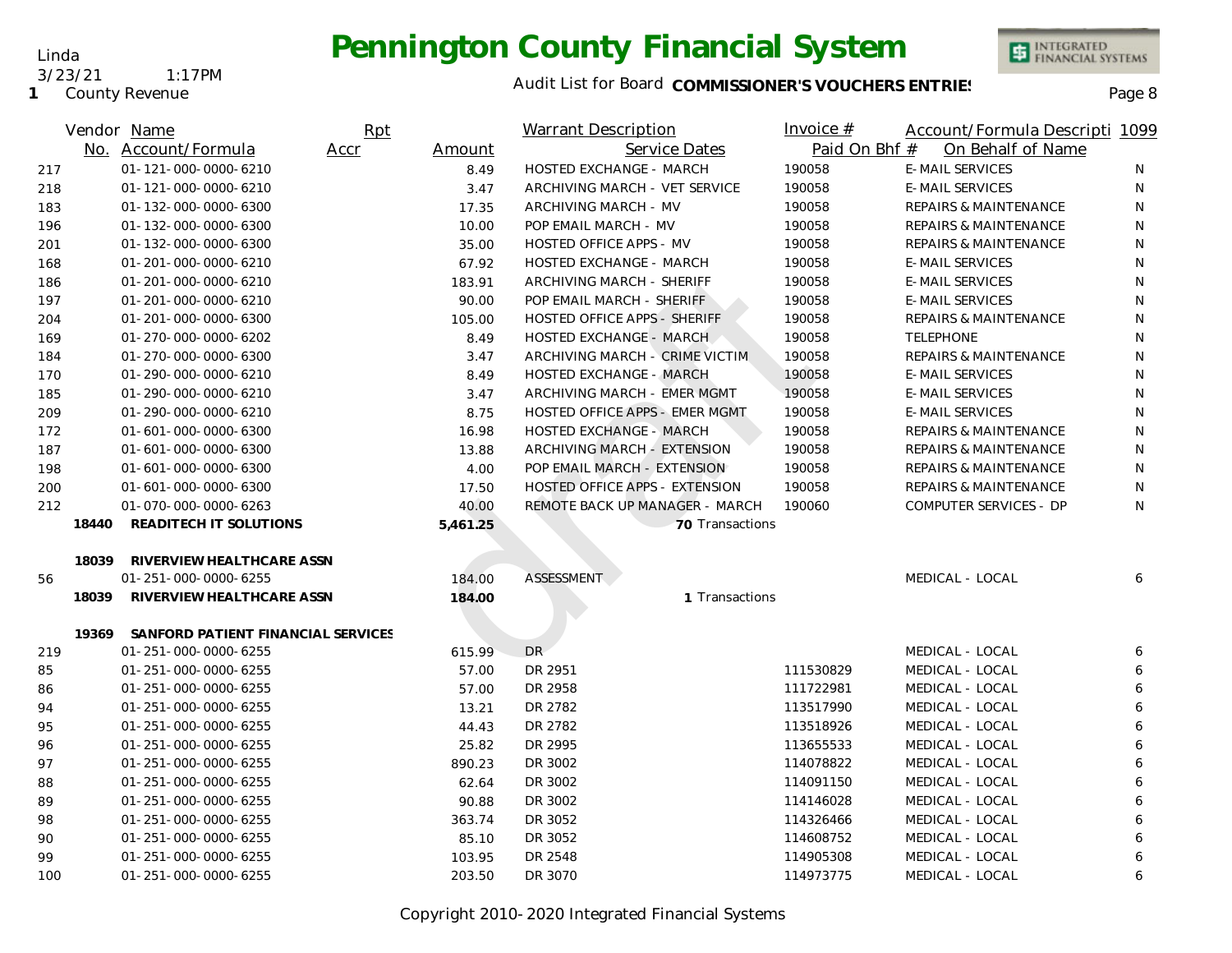**1** County Revenue

3/23/21 1:17PM

Linda

### Audit List for Board COMMISSIONER'S VOUCHERS ENTRIES<br>Page 8

|     |       | Vendor Name                        | Rpt  |          | Warrant Description            | <u>Invoice <math>#</math></u> | Account/Formula Descripti 1099   |   |
|-----|-------|------------------------------------|------|----------|--------------------------------|-------------------------------|----------------------------------|---|
|     |       | No. Account/Formula                | Accr | Amount   | Service Dates                  | Paid On Bhf #                 | On Behalf of Name                |   |
| 217 |       | 01-121-000-0000-6210               |      | 8.49     | HOSTED EXCHANGE - MARCH        | 190058                        | <b>E-MAIL SERVICES</b>           | N |
| 218 |       | 01-121-000-0000-6210               |      | 3.47     | ARCHIVING MARCH - VET SERVICE  | 190058                        | <b>E-MAIL SERVICES</b>           | N |
| 183 |       | 01-132-000-0000-6300               |      | 17.35    | ARCHIVING MARCH - MV           | 190058                        | REPAIRS & MAINTENANCE            | N |
| 196 |       | 01-132-000-0000-6300               |      | 10.00    | POP EMAIL MARCH - MV           | 190058                        | REPAIRS & MAINTENANCE            | N |
| 201 |       | 01-132-000-0000-6300               |      | 35.00    | <b>HOSTED OFFICE APPS - MV</b> | 190058                        | <b>REPAIRS &amp; MAINTENANCE</b> | N |
| 168 |       | 01-201-000-0000-6210               |      | 67.92    | HOSTED EXCHANGE - MARCH        | 190058                        | <b>E-MAIL SERVICES</b>           | N |
| 186 |       | 01-201-000-0000-6210               |      | 183.91   | ARCHIVING MARCH - SHERIFF      | 190058                        | <b>E-MAIL SERVICES</b>           | N |
| 197 |       | 01-201-000-0000-6210               |      | 90.00    | POP EMAIL MARCH - SHERIFF      | 190058                        | <b>E-MAIL SERVICES</b>           | N |
| 204 |       | 01-201-000-0000-6300               |      | 105.00   | HOSTED OFFICE APPS - SHERIFF   | 190058                        | <b>REPAIRS &amp; MAINTENANCE</b> | N |
| 169 |       | 01-270-000-0000-6202               |      | 8.49     | HOSTED EXCHANGE - MARCH        | 190058                        | <b>TELEPHONE</b>                 | N |
| 184 |       | 01-270-000-0000-6300               |      | 3.47     | ARCHIVING MARCH - CRIME VICTIM | 190058                        | REPAIRS & MAINTENANCE            | N |
| 170 |       | 01-290-000-0000-6210               |      | 8.49     | <b>HOSTED EXCHANGE - MARCH</b> | 190058                        | <b>E-MAIL SERVICES</b>           | N |
| 185 |       | 01-290-000-0000-6210               |      | 3.47     | ARCHIVING MARCH - EMER MGMT    | 190058                        | <b>E-MAIL SERVICES</b>           | N |
| 209 |       | 01-290-000-0000-6210               |      | 8.75     | HOSTED OFFICE APPS - EMER MGMT | 190058                        | <b>E-MAIL SERVICES</b>           | N |
| 172 |       | 01-601-000-0000-6300               |      | 16.98    | <b>HOSTED EXCHANGE - MARCH</b> | 190058                        | REPAIRS & MAINTENANCE            | N |
| 187 |       | 01-601-000-0000-6300               |      | 13.88    | ARCHIVING MARCH - EXTENSION    | 190058                        | <b>REPAIRS &amp; MAINTENANCE</b> | N |
| 198 |       | 01-601-000-0000-6300               |      | 4.00     | POP EMAIL MARCH - EXTENSION    | 190058                        | REPAIRS & MAINTENANCE            | N |
| 200 |       | 01-601-000-0000-6300               |      | 17.50    | HOSTED OFFICE APPS - EXTENSION | 190058                        | REPAIRS & MAINTENANCE            | N |
| 212 |       | 01-070-000-0000-6263               |      | 40.00    | REMOTE BACK UP MANAGER - MARCH | 190060                        | COMPUTER SERVICES - DP           | N |
|     | 18440 | READITECH IT SOLUTIONS             |      | 5,461.25 | 70 Transactions                |                               |                                  |   |
|     |       |                                    |      |          |                                |                               |                                  |   |
|     | 18039 | RIVERVIEW HEALTHCARE ASSN          |      |          |                                |                               |                                  |   |
| 56  |       | 01-251-000-0000-6255               |      | 184.00   | <b>ASSESSMENT</b>              |                               | MEDICAL - LOCAL                  | 6 |
|     | 18039 | RIVERVIEW HEALTHCARE ASSN          |      | 184.00   | 1 Transactions                 |                               |                                  |   |
|     | 19369 | SANFORD PATIENT FINANCIAL SERVICES |      |          |                                |                               |                                  |   |
| 219 |       | 01-251-000-0000-6255               |      | 615.99   | DR.                            |                               | MEDICAL - LOCAL                  | 6 |
| 85  |       | 01-251-000-0000-6255               |      | 57.00    | DR 2951                        | 111530829                     | MEDICAL - LOCAL                  | 6 |
| 86  |       | 01-251-000-0000-6255               |      | 57.00    | DR 2958                        | 111722981                     | MEDICAL - LOCAL                  | 6 |
| 94  |       | 01-251-000-0000-6255               |      | 13.21    | DR 2782                        | 113517990                     | MEDICAL - LOCAL                  | 6 |
| 95  |       | 01-251-000-0000-6255               |      | 44.43    | DR 2782                        | 113518926                     | MEDICAL - LOCAL                  | 6 |
| 96  |       | 01-251-000-0000-6255               |      | 25.82    | DR 2995                        | 113655533                     | MEDICAL - LOCAL                  | 6 |
| 97  |       | 01-251-000-0000-6255               |      | 890.23   | DR 3002                        | 114078822                     | MEDICAL - LOCAL                  | 6 |
| 88  |       | 01-251-000-0000-6255               |      | 62.64    | DR 3002                        | 114091150                     | MEDICAL - LOCAL                  | 6 |
| 89  |       | 01-251-000-0000-6255               |      | 90.88    | DR 3002                        | 114146028                     | MEDICAL - LOCAL                  | 6 |
| 98  |       | 01-251-000-0000-6255               |      | 363.74   | DR 3052                        | 114326466                     | MEDICAL - LOCAL                  | 6 |
| 90  |       | 01-251-000-0000-6255               |      | 85.10    | DR 3052                        | 114608752                     | MEDICAL - LOCAL                  | 6 |
| 99  |       | 01-251-000-0000-6255               |      | 103.95   | DR 2548                        | 114905308                     | MEDICAL - LOCAL                  | 6 |
| 100 |       | 01-251-000-0000-6255               |      | 203.50   | DR 3070                        | 114973775                     | MEDICAL - LOCAL                  | 6 |
|     |       |                                    |      |          |                                |                               |                                  |   |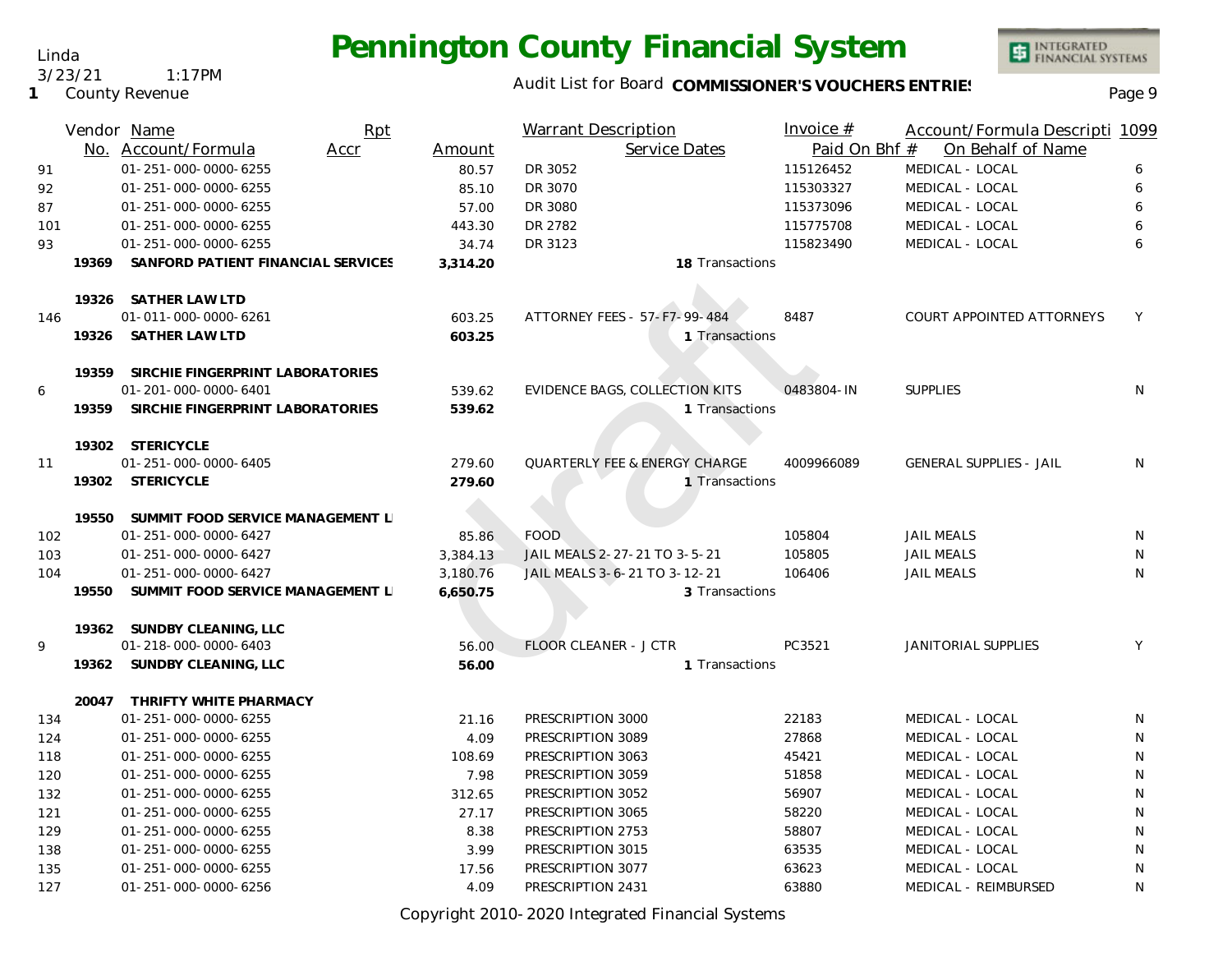### Audit List for Board COMMISSIONER'S VOUCHERS ENTRIES<br>Page 9

INTEGRATED<br>FINANCIAL SYSTEMS

|     |       | Vendor Name                        | Rpt  |          | <b>Warrant Description</b>               | Invoice $#$   | Account/Formula Descripti 1099 |    |
|-----|-------|------------------------------------|------|----------|------------------------------------------|---------------|--------------------------------|----|
|     |       | No. Account/Formula                | Accr | Amount   | Service Dates                            | Paid On Bhf # | On Behalf of Name              |    |
| 91  |       | 01-251-000-0000-6255               |      | 80.57    | DR 3052                                  | 115126452     | MEDICAL - LOCAL                | 6  |
| 92  |       | 01-251-000-0000-6255               |      | 85.10    | DR 3070                                  | 115303327     | MEDICAL - LOCAL                | 6  |
| 87  |       | 01-251-000-0000-6255               |      | 57.00    | DR 3080                                  | 115373096     | MEDICAL - LOCAL                | 6  |
| 101 |       | 01-251-000-0000-6255               |      | 443.30   | DR 2782                                  | 115775708     | MEDICAL - LOCAL                | 6  |
| 93  |       | 01-251-000-0000-6255               |      | 34.74    | DR 3123                                  | 115823490     | MEDICAL - LOCAL                | 6  |
|     | 19369 | SANFORD PATIENT FINANCIAL SERVICES |      | 3,314.20 | 18 Transactions                          |               |                                |    |
|     |       | 19326 SATHER LAW LTD               |      |          |                                          |               |                                |    |
| 146 |       | 01-011-000-0000-6261               |      | 603.25   | ATTORNEY FEES - 57-F7-99-484             | 8487          | COURT APPOINTED ATTORNEYS      | Y  |
|     |       | 19326 SATHER LAW LTD               |      | 603.25   | 1 Transactions                           |               |                                |    |
|     | 19359 | SIRCHIE FINGERPRINT LABORATORIES   |      |          |                                          |               |                                |    |
| 6   |       | 01-201-000-0000-6401               |      | 539.62   | <b>EVIDENCE BAGS, COLLECTION KITS</b>    | 0483804-IN    | <b>SUPPLIES</b>                | N  |
|     | 19359 | SIRCHIE FINGERPRINT LABORATORIES   |      | 539.62   | 1 Transactions                           |               |                                |    |
|     |       | 19302 STERICYCLE                   |      |          |                                          |               |                                |    |
| 11  |       | 01-251-000-0000-6405               |      | 279.60   | <b>QUARTERLY FEE &amp; ENERGY CHARGE</b> | 4009966089    | <b>GENERAL SUPPLIES - JAIL</b> | N. |
|     |       | 19302 STERICYCLE                   |      | 279.60   | 1 Transactions                           |               |                                |    |
|     | 19550 | SUMMIT FOOD SERVICE MANAGEMENT L   |      |          |                                          |               |                                |    |
| 102 |       | 01-251-000-0000-6427               |      | 85.86    | <b>FOOD</b>                              | 105804        | <b>JAIL MEALS</b>              | N  |
| 103 |       | 01-251-000-0000-6427               |      | 3,384.13 | JAIL MEALS 2-27-21 TO 3-5-21             | 105805        | <b>JAIL MEALS</b>              | N  |
| 104 |       | 01-251-000-0000-6427               |      | 3,180.76 | JAIL MEALS 3-6-21 TO 3-12-21             | 106406        | <b>JAIL MEALS</b>              | N  |
|     | 19550 | SUMMIT FOOD SERVICE MANAGEMENT L   |      | 6,650.75 | 3 Transactions                           |               |                                |    |
|     |       | 19362 SUNDBY CLEANING, LLC         |      |          |                                          |               |                                |    |
| 9   |       | 01-218-000-0000-6403               |      | 56.00    | <b>FLOOR CLEANER - J CTR</b>             | PC3521        | <b>JANITORIAL SUPPLIES</b>     | Y  |
|     |       | 19362 SUNDBY CLEANING, LLC         |      | 56.00    | 1 Transactions                           |               |                                |    |
|     |       | 20047 THRIFTY WHITE PHARMACY       |      |          |                                          |               |                                |    |
| 134 |       | 01-251-000-0000-6255               |      | 21.16    | PRESCRIPTION 3000                        | 22183         | MEDICAL - LOCAL                | N  |
| 124 |       | 01-251-000-0000-6255               |      | 4.09     | PRESCRIPTION 3089                        | 27868         | MEDICAL - LOCAL                | N  |
| 118 |       | 01-251-000-0000-6255               |      | 108.69   | PRESCRIPTION 3063                        | 45421         | MEDICAL - LOCAL                | N  |
| 120 |       | 01-251-000-0000-6255               |      | 7.98     | PRESCRIPTION 3059                        | 51858         | MEDICAL - LOCAL                | N  |
| 132 |       | 01-251-000-0000-6255               |      | 312.65   | PRESCRIPTION 3052                        | 56907         | MEDICAL - LOCAL                | N  |
| 121 |       | 01-251-000-0000-6255               |      | 27.17    | PRESCRIPTION 3065                        | 58220         | MEDICAL - LOCAL                | N  |
| 129 |       | 01-251-000-0000-6255               |      | 8.38     | PRESCRIPTION 2753                        | 58807         | MEDICAL - LOCAL                | N  |
| 138 |       | 01-251-000-0000-6255               |      | 3.99     | PRESCRIPTION 3015                        | 63535         | MEDICAL - LOCAL                | N  |
| 135 |       | 01-251-000-0000-6255               |      | 17.56    | PRESCRIPTION 3077                        | 63623         | MEDICAL - LOCAL                | N  |
| 127 |       | 01-251-000-0000-6256               |      | 4.09     | PRESCRIPTION 2431                        | 63880         | MEDICAL - REIMBURSED           | N  |

Copyright 2010-2020 Integrated Financial Systems

#### Linda

3/23/21 1:17PM

#### **1** County Revenue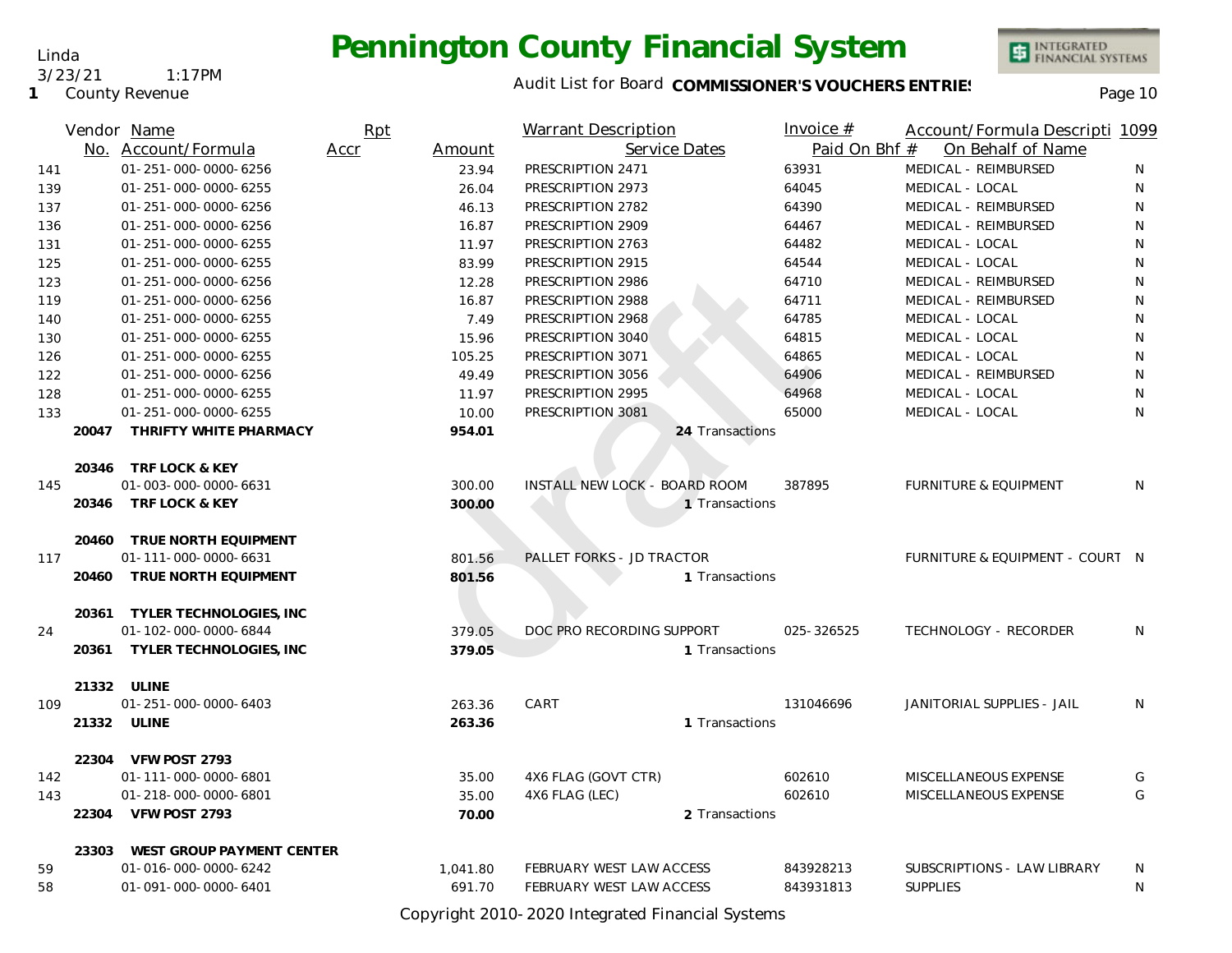Linda 3/23/21 1:17PM

**1** County Revenue

### Audit List for Board COMMISSIONER'S VOUCHERS ENTRIES<br>Page 10

INTEGRATED<br>FINANCIAL SYSTEMS

|     |       | Vendor Name                     | Rpt  |          | <b>Warrant Description</b>    | Invoice $#$   | Account/Formula Descripti 1099   |   |
|-----|-------|---------------------------------|------|----------|-------------------------------|---------------|----------------------------------|---|
|     |       | No. Account/Formula             | Accr | Amount   | Service Dates                 | Paid On Bhf # | On Behalf of Name                |   |
| 141 |       | 01-251-000-0000-6256            |      | 23.94    | PRESCRIPTION 2471             | 63931         | MEDICAL - REIMBURSED             | N |
| 139 |       | 01-251-000-0000-6255            |      | 26.04    | PRESCRIPTION 2973             | 64045         | MEDICAL - LOCAL                  | N |
| 137 |       | 01-251-000-0000-6256            |      | 46.13    | PRESCRIPTION 2782             | 64390         | MEDICAL - REIMBURSED             | N |
| 136 |       | 01-251-000-0000-6256            |      | 16.87    | PRESCRIPTION 2909             | 64467         | MEDICAL - REIMBURSED             | N |
| 131 |       | 01-251-000-0000-6255            |      | 11.97    | PRESCRIPTION 2763             | 64482         | MEDICAL - LOCAL                  | N |
| 125 |       | 01-251-000-0000-6255            |      | 83.99    | PRESCRIPTION 2915             | 64544         | MEDICAL - LOCAL                  | N |
| 123 |       | 01-251-000-0000-6256            |      | 12.28    | PRESCRIPTION 2986             | 64710         | MEDICAL - REIMBURSED             | N |
| 119 |       | 01-251-000-0000-6256            |      | 16.87    | PRESCRIPTION 2988             | 64711         | MEDICAL - REIMBURSED             | N |
| 140 |       | 01-251-000-0000-6255            |      | 7.49     | PRESCRIPTION 2968             | 64785         | MEDICAL - LOCAL                  | N |
| 130 |       | 01-251-000-0000-6255            |      | 15.96    | PRESCRIPTION 3040             | 64815         | MEDICAL - LOCAL                  | N |
| 126 |       | 01-251-000-0000-6255            |      | 105.25   | PRESCRIPTION 3071             | 64865         | MEDICAL - LOCAL                  | N |
| 122 |       | 01-251-000-0000-6256            |      | 49.49    | PRESCRIPTION 3056             | 64906         | MEDICAL - REIMBURSED             | N |
| 128 |       | 01-251-000-0000-6255            |      | 11.97    | PRESCRIPTION 2995             | 64968         | MEDICAL - LOCAL                  | N |
| 133 |       | 01-251-000-0000-6255            |      | 10.00    | PRESCRIPTION 3081             | 65000         | MEDICAL - LOCAL                  | N |
|     | 20047 | THRIFTY WHITE PHARMACY          |      | 954.01   | 24 Transactions               |               |                                  |   |
|     |       | 20346 TRF LOCK & KEY            |      |          |                               |               |                                  |   |
| 145 |       | 01-003-000-0000-6631            |      | 300.00   | INSTALL NEW LOCK - BOARD ROOM | 387895        | <b>FURNITURE &amp; EQUIPMENT</b> | N |
|     |       | 20346 TRF LOCK & KEY            |      | 300.00   | 1 Transactions                |               |                                  |   |
|     | 20460 | TRUE NORTH EQUIPMENT            |      |          |                               |               |                                  |   |
| 117 |       | 01-111-000-0000-6631            |      | 801.56   | PALLET FORKS - JD TRACTOR     |               | FURNITURE & EQUIPMENT - COURT N  |   |
|     | 20460 | TRUE NORTH EQUIPMENT            |      | 801.56   | 1 Transactions                |               |                                  |   |
|     |       | 20361 TYLER TECHNOLOGIES, INC   |      |          |                               |               |                                  |   |
| 24  |       | 01-102-000-0000-6844            |      | 379.05   | DOC PRO RECORDING SUPPORT     | 025-326525    | TECHNOLOGY - RECORDER            | N |
|     |       | 20361 TYLER TECHNOLOGIES, INC   |      | 379.05   | 1 Transactions                |               |                                  |   |
|     |       | 21332 ULINE                     |      |          |                               |               |                                  |   |
| 109 |       | 01-251-000-0000-6403            |      | 263.36   | CART                          | 131046696     | JANITORIAL SUPPLIES - JAIL       | N |
|     | 21332 | ULINE                           |      | 263.36   | 1 Transactions                |               |                                  |   |
|     | 22304 | VFW POST 2793                   |      |          |                               |               |                                  |   |
| 142 |       | 01-111-000-0000-6801            |      | 35.00    | 4X6 FLAG (GOVT CTR)           | 602610        | MISCELLANEOUS EXPENSE            | G |
| 143 |       | 01-218-000-0000-6801            |      | 35.00    | 4X6 FLAG (LEC)                | 602610        | MISCELLANEOUS EXPENSE            | G |
|     |       | 22304 VFW POST 2793             |      | 70.00    | 2 Transactions                |               |                                  |   |
|     |       | 23303 WEST GROUP PAYMENT CENTER |      |          |                               |               |                                  |   |
| 59  |       | 01-016-000-0000-6242            |      | 1,041.80 | FEBRUARY WEST LAW ACCESS      | 843928213     | SUBSCRIPTIONS - LAW LIBRARY      | N |
| 58  |       | 01-091-000-0000-6401            |      | 691.70   | FEBRUARY WEST LAW ACCESS      | 843931813     | <b>SUPPLIES</b>                  | N |

Copyright 2010-2020 Integrated Financial Systems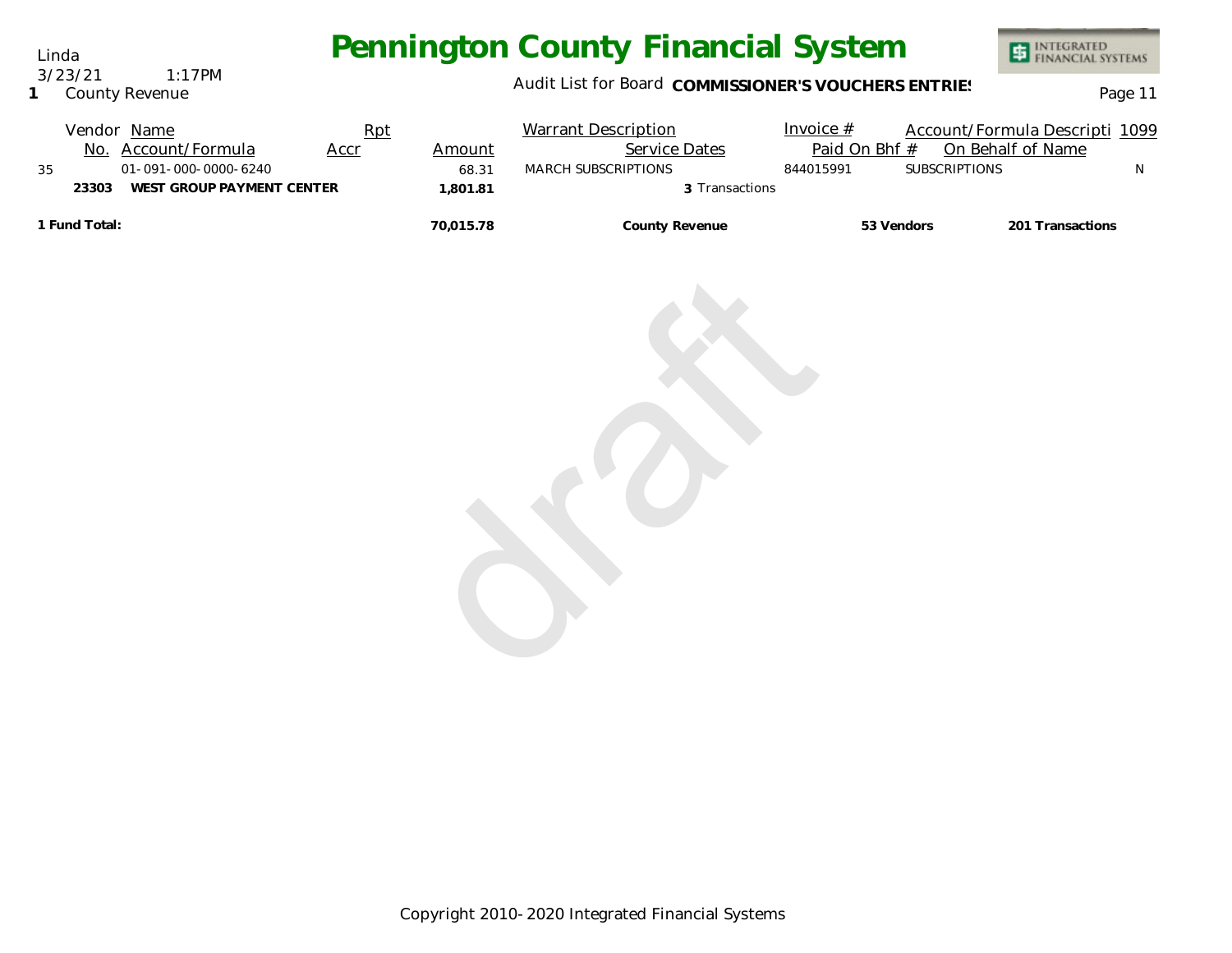Linda 3/23/21 1:17PM

#### **1** County Revenue

### Audit List for Board COMMISSIONER'S VOUCHERS ENTRIES<br>
Page 11

|    |               | Vendor Name               | Rpt         |           | <b>Warrant Description</b> | Invoice $#$   |                      | Account/Formula Descripti 1099 |  |
|----|---------------|---------------------------|-------------|-----------|----------------------------|---------------|----------------------|--------------------------------|--|
|    | No.           | Account/Formula           | <u>Accr</u> | Amount    | <b>Service Dates</b>       | Paid On Bhf # |                      | On Behalf of Name              |  |
| 35 |               | 01-091-000-0000-6240      |             | 68.31     | MARCH SUBSCRIPTIONS        | 844015991     | <b>SUBSCRIPTIONS</b> |                                |  |
|    | 23303         | WEST GROUP PAYMENT CENTER |             | 1.801.81  | 3 Transactions             |               |                      |                                |  |
|    | 1 Fund Total: |                           |             | 70.015.78 | County Revenue             | 53 Vendors    |                      | 201 Transactions               |  |

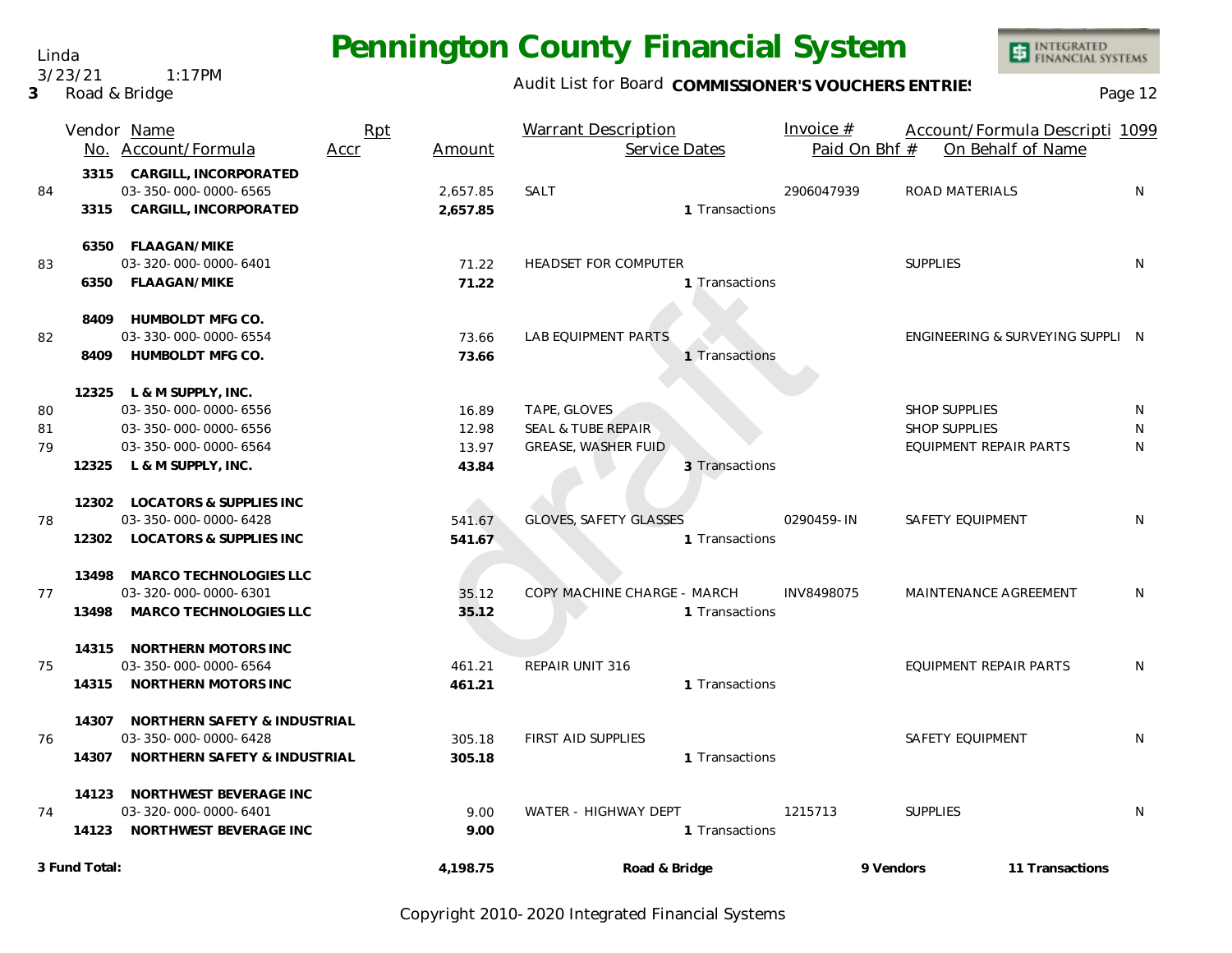Linda 3/23/21 1:17PM

**3** Road & Bridge

### Audit List for Board COMMISSIONER'S VOUCHERS ENTRIES<br>Page 12

|    |               | Vendor Name<br>No. Account/Formula | Rpt<br>Accr | Amount   | <b>Warrant Description</b><br>Service Dates | Invoice $#$<br>Paid On Bhf # | Account/Formula Descripti 1099<br>On Behalf of Name |              |
|----|---------------|------------------------------------|-------------|----------|---------------------------------------------|------------------------------|-----------------------------------------------------|--------------|
|    |               | 3315 CARGILL, INCORPORATED         |             |          |                                             |                              |                                                     |              |
| 84 |               | 03-350-000-0000-6565               |             | 2,657.85 | SALT                                        | 2906047939                   | ROAD MATERIALS                                      | N            |
|    |               | 3315 CARGILL, INCORPORATED         |             | 2,657.85 | 1 Transactions                              |                              |                                                     |              |
|    |               | 6350 FLAAGAN/MIKE                  |             |          |                                             |                              |                                                     |              |
| 83 |               | 03-320-000-0000-6401               |             | 71.22    | <b>HEADSET FOR COMPUTER</b>                 |                              | <b>SUPPLIES</b>                                     | N            |
|    |               | 6350 FLAAGAN/MIKE                  |             | 71.22    | 1 Transactions                              |                              |                                                     |              |
|    |               | 8409 HUMBOLDT MFG CO.              |             |          |                                             |                              |                                                     |              |
| 82 |               | 03-330-000-0000-6554               |             | 73.66    | <b>LAB EQUIPMENT PARTS</b>                  |                              | ENGINEERING & SURVEYING SUPPLI N                    |              |
|    |               | 8409 HUMBOLDT MFG CO.              |             | 73.66    | 1 Transactions                              |                              |                                                     |              |
|    |               | 12325 L & M SUPPLY, INC.           |             |          |                                             |                              |                                                     |              |
| 80 |               | 03-350-000-0000-6556               |             | 16.89    | TAPE, GLOVES                                |                              | <b>SHOP SUPPLIES</b>                                | N            |
| 81 |               | 03-350-000-0000-6556               |             | 12.98    | <b>SEAL &amp; TUBE REPAIR</b>               |                              | <b>SHOP SUPPLIES</b>                                | N            |
| 79 |               | 03-350-000-0000-6564               |             | 13.97    | <b>GREASE, WASHER FUID</b>                  |                              | EQUIPMENT REPAIR PARTS                              | N            |
|    |               | 12325 L & M SUPPLY, INC.           |             | 43.84    | 3 Transactions                              |                              |                                                     |              |
|    |               | 12302 LOCATORS & SUPPLIES INC      |             |          |                                             |                              |                                                     |              |
| 78 |               | 03-350-000-0000-6428               |             | 541.67   | <b>GLOVES, SAFETY GLASSES</b>               | 0290459-IN                   | SAFETY EQUIPMENT                                    | N            |
|    |               | 12302 LOCATORS & SUPPLIES INC      |             | 541.67   | 1 Transactions                              |                              |                                                     |              |
|    |               | 13498 MARCO TECHNOLOGIES LLC       |             |          |                                             |                              |                                                     |              |
| 77 |               | 03-320-000-0000-6301               |             | 35.12    | COPY MACHINE CHARGE - MARCH                 | INV8498075                   | MAINTENANCE AGREEMENT                               | N            |
|    | 13498         | MARCO TECHNOLOGIES LLC             |             | 35.12    | 1 Transactions                              |                              |                                                     |              |
|    |               | 14315 NORTHERN MOTORS INC          |             |          |                                             |                              |                                                     |              |
| 75 |               | 03-350-000-0000-6564               |             | 461.21   | REPAIR UNIT 316                             |                              | EQUIPMENT REPAIR PARTS                              | N            |
|    |               | 14315 NORTHERN MOTORS INC          |             | 461.21   | 1 Transactions                              |                              |                                                     |              |
|    |               | 14307 NORTHERN SAFETY & INDUSTRIAL |             |          |                                             |                              |                                                     |              |
| 76 |               | 03-350-000-0000-6428               |             | 305.18   | <b>FIRST AID SUPPLIES</b>                   |                              | SAFETY EQUIPMENT                                    | N            |
|    |               | 14307 NORTHERN SAFETY & INDUSTRIAL |             | 305.18   | 1 Transactions                              |                              |                                                     |              |
|    |               | 14123 NORTHWEST BEVERAGE INC       |             |          |                                             |                              |                                                     |              |
| 74 |               | 03-320-000-0000-6401               |             | 9.00     | WATER - HIGHWAY DEPT                        | 1215713                      | <b>SUPPLIES</b>                                     | <sup>N</sup> |
|    |               | 14123 NORTHWEST BEVERAGE INC       |             | 9.00     | 1 Transactions                              |                              |                                                     |              |
|    | 3 Fund Total: |                                    |             | 4,198.75 | Road & Bridge                               | 9 Vendors                    | 11 Transactions                                     |              |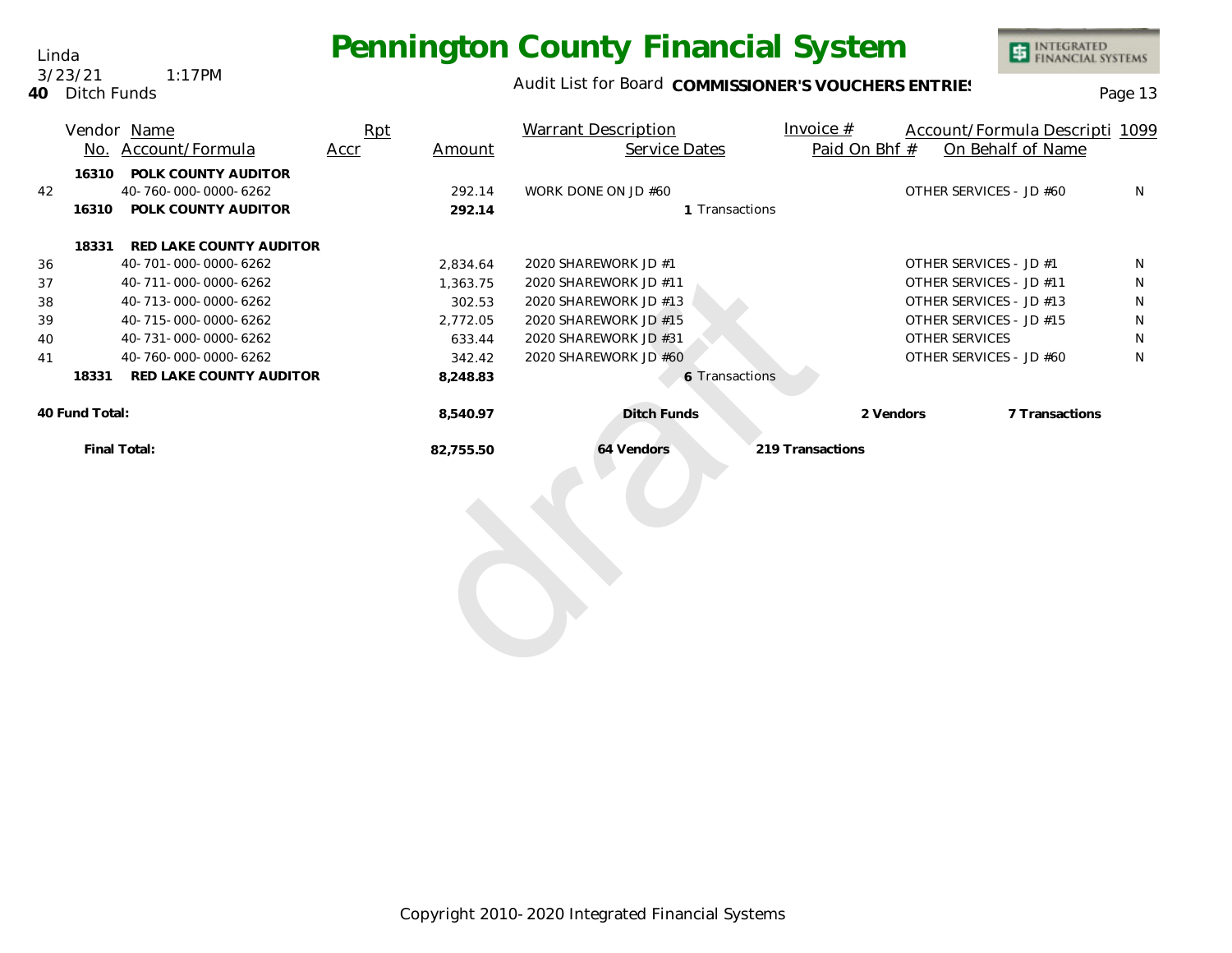Audit List for Board COMMISSIONER'S VOUCHERS ENTRIES<br>Page 13

| 3/23/21        | $1:17$ PM | Audit List for E |
|----------------|-----------|------------------|
| 40 Ditch Funds |           |                  |

Linda

|                |       | Vendor Name             | Rpt  |           | <b>Warrant Description</b> | Invoice $#$      | Account/Formula Descripti 1099 |   |
|----------------|-------|-------------------------|------|-----------|----------------------------|------------------|--------------------------------|---|
|                |       | No. Account/Formula     | Accr | Amount    | Service Dates              | Paid On Bhf #    | On Behalf of Name              |   |
|                | 16310 | POLK COUNTY AUDITOR     |      |           |                            |                  |                                |   |
| 42             |       | 40-760-000-0000-6262    |      | 292.14    | WORK DONE ON JD #60        |                  | OTHER SERVICES - JD #60        | N |
|                | 16310 | POLK COUNTY AUDITOR     |      | 292.14    | 1 Transactions             |                  |                                |   |
|                | 18331 | RED LAKE COUNTY AUDITOR |      |           |                            |                  |                                |   |
| 36             |       | 40-701-000-0000-6262    |      | 2,834.64  | 2020 SHAREWORK JD #1       |                  | OTHER SERVICES - JD #1         | N |
| 37             |       | 40-711-000-0000-6262    |      | 1,363.75  | 2020 SHAREWORK JD #11      |                  | OTHER SERVICES - JD #11        | N |
| 38             |       | 40-713-000-0000-6262    |      | 302.53    | 2020 SHAREWORK JD #13      |                  | OTHER SERVICES - JD #13        | N |
| 39             |       | 40-715-000-0000-6262    |      | 2,772.05  | 2020 SHAREWORK JD #15      |                  | OTHER SERVICES - JD #15        | N |
| 40             |       | 40-731-000-0000-6262    |      | 633.44    | 2020 SHAREWORK JD #31      |                  | OTHER SERVICES                 | N |
| 41             |       | 40-760-000-0000-6262    |      | 342.42    | 2020 SHAREWORK JD #60      |                  | OTHER SERVICES - JD #60        | N |
|                | 18331 | RED LAKE COUNTY AUDITOR |      | 8,248.83  | 6 Transactions             |                  |                                |   |
| 40 Fund Total: |       |                         |      | 8,540.97  | <b>Ditch Funds</b>         | 2 Vendors        | 7 Transactions                 |   |
|                |       | Final Total:            |      | 82,755.50 | 64 Vendors                 | 219 Transactions |                                |   |
|                |       |                         |      |           |                            |                  |                                |   |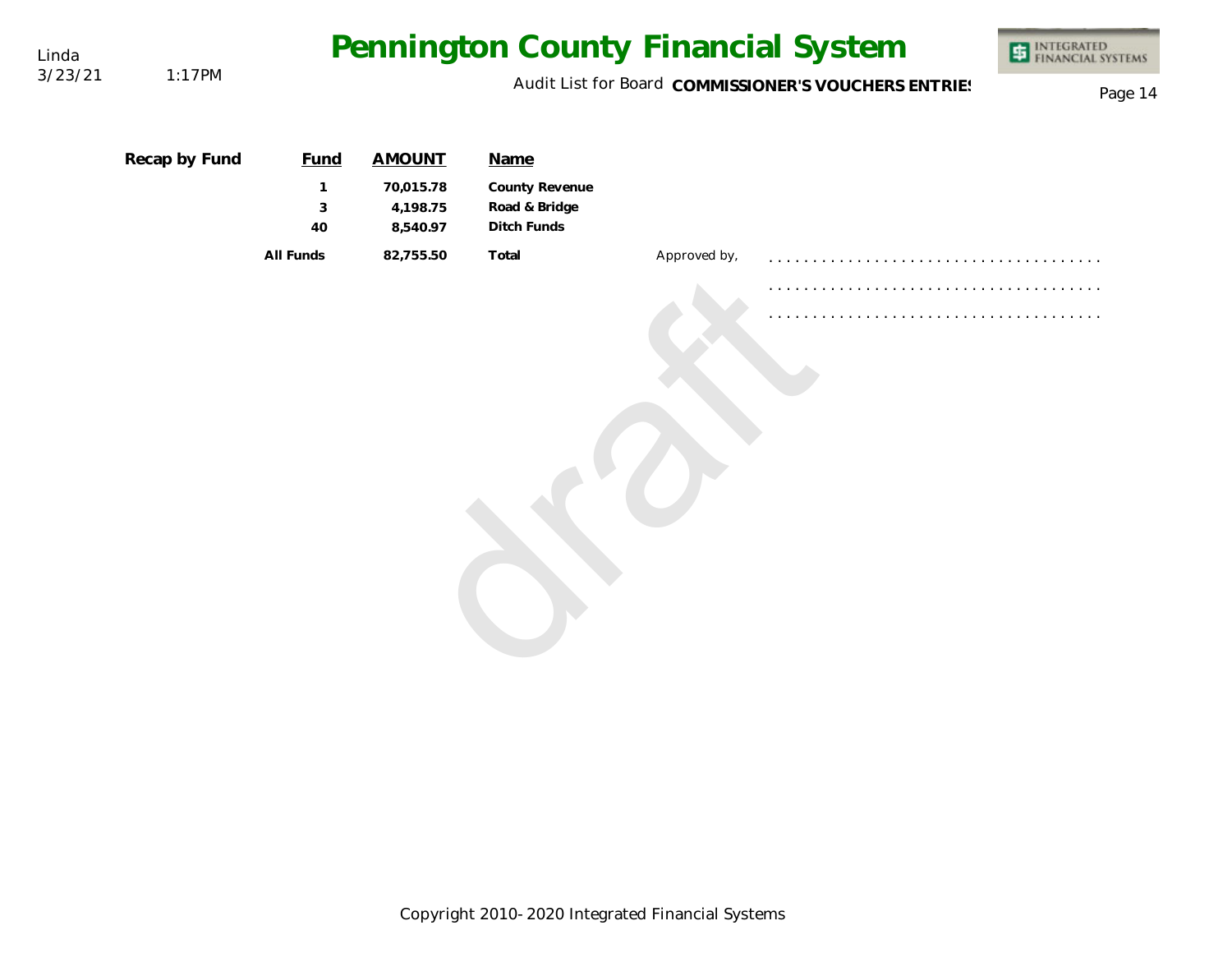| Linda   |               |                         |                                   |                                                |              | Pennington County Financial System                   | INTEGRATED<br>FINANCIAL SYSTEMS |
|---------|---------------|-------------------------|-----------------------------------|------------------------------------------------|--------------|------------------------------------------------------|---------------------------------|
| 3/23/21 | 1:17PM        |                         |                                   |                                                |              | Audit List for Board COMMISSIONER'S VOUCHERS ENTRIES | Page 14                         |
|         | Recap by Fund | <b>Fund</b>             | <b>AMOUNT</b>                     | Name                                           |              |                                                      |                                 |
|         |               | $\mathbf{1}$<br>3<br>40 | 70,015.78<br>4,198.75<br>8,540.97 | County Revenue<br>Road & Bridge<br>Ditch Funds |              |                                                      |                                 |
|         |               | All Funds               | 82,755.50                         | Total                                          | Approved by, |                                                      |                                 |
|         |               |                         |                                   |                                                |              |                                                      |                                 |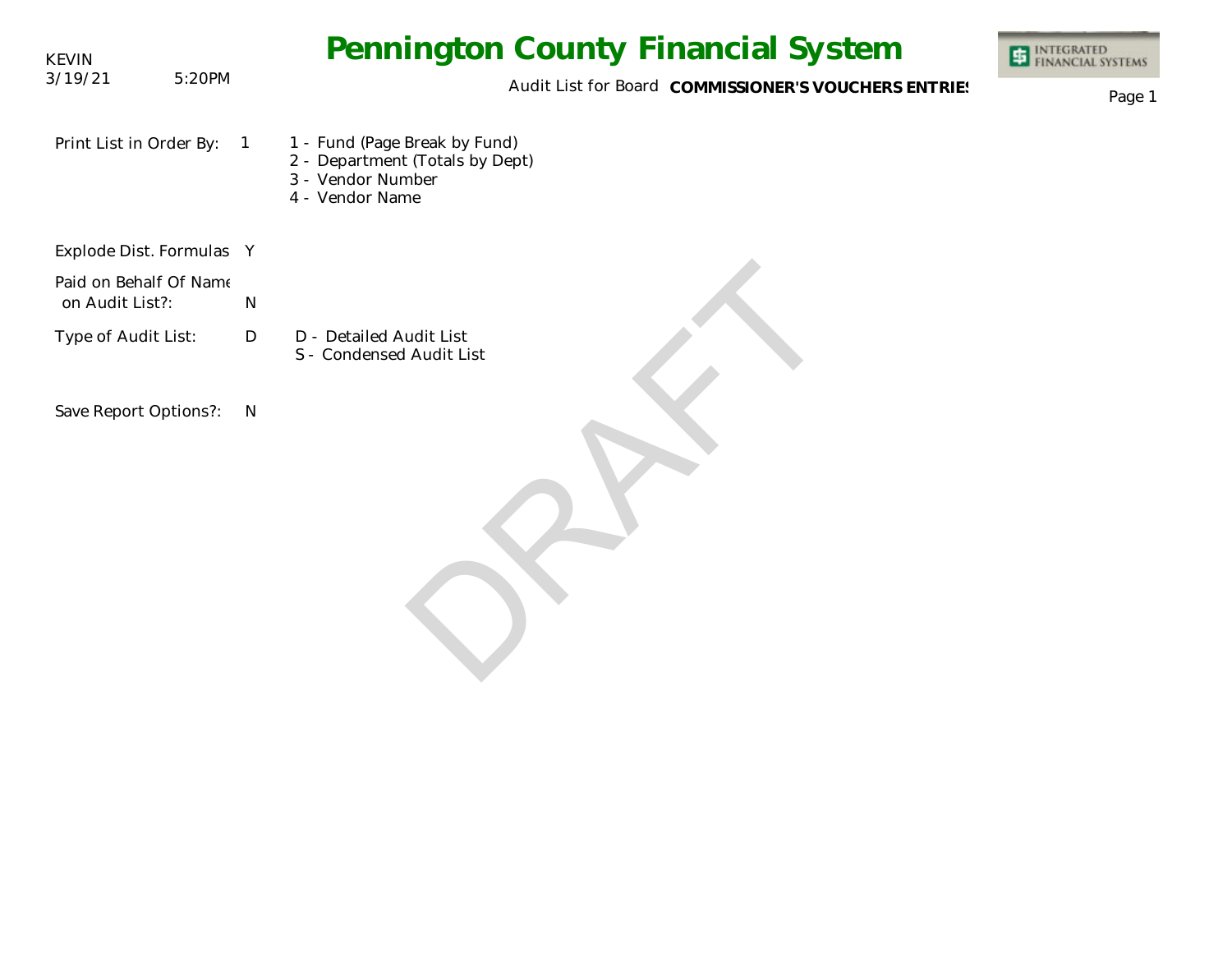| <b>KEVIN</b>                              |        | <b>Pennington County Financial System</b>                                                                                  | <b>ET INTEGRATED</b><br>FINANCIAL SYSTEMS |
|-------------------------------------------|--------|----------------------------------------------------------------------------------------------------------------------------|-------------------------------------------|
| 3/19/21                                   | 5:20PM | Audit List for Board COMMISSIONER'S VOUCHERS ENTRIES                                                                       | Page 1                                    |
| Print List in Order By:                   |        | 1 - Fund (Page Break by Fund)<br>$\overline{1}$<br>2 - Department (Totals by Dept)<br>3 - Vendor Number<br>4 - Vendor Name |                                           |
| Explode Dist. Formulas Y                  |        |                                                                                                                            |                                           |
| Paid on Behalf Of Name<br>on Audit List?: |        | ${\sf N}$                                                                                                                  |                                           |
| Type of Audit List:                       |        | D<br>D - Detailed Audit List<br>S - Condensed Audit List                                                                   |                                           |
| Save Report Options?:                     |        | N                                                                                                                          |                                           |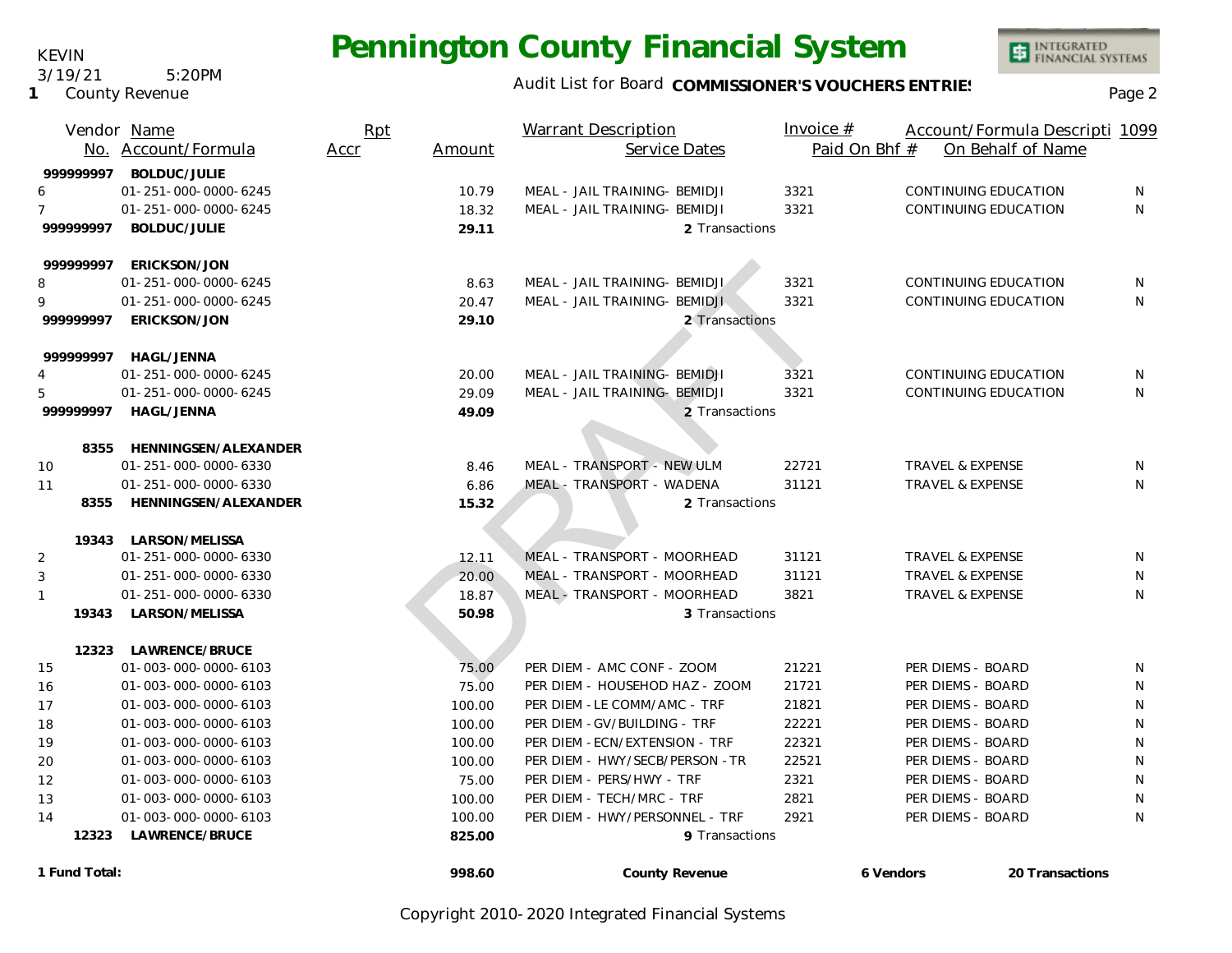### Audit List for Board COMMISSIONER'S VOUCHERS ENTRIES<br>Page 2

|                | Vendor Name<br>No. Account/Formula          | Rpt<br>Accr | Amount | <b>Warrant Description</b><br>Service Dates | Invoice $#$<br>Paid On Bhf # | Account/Formula Descripti 1099<br>On Behalf of Name |                 |
|----------------|---------------------------------------------|-------------|--------|---------------------------------------------|------------------------------|-----------------------------------------------------|-----------------|
|                |                                             |             |        |                                             |                              |                                                     |                 |
| 999999997      | <b>BOLDUC/JULIE</b><br>01-251-000-0000-6245 |             | 10.79  | MEAL - JAIL TRAINING- BEMIDJI               | 3321                         | CONTINUING EDUCATION                                | N               |
|                | 01-251-000-0000-6245                        |             | 18.32  | MEAL - JAIL TRAINING- BEMIDJI               | 3321                         | CONTINUING EDUCATION                                | N               |
| 99999997       | <b>BOLDUC/JULIE</b>                         |             | 29.11  | 2 Transactions                              |                              |                                                     |                 |
|                |                                             |             |        |                                             |                              |                                                     |                 |
| 99999997       | ERICKSON/JON                                |             |        |                                             |                              |                                                     |                 |
| 8              | 01-251-000-0000-6245                        |             | 8.63   | MEAL - JAIL TRAINING- BEMIDJI               | 3321                         | CONTINUING EDUCATION                                | N               |
|                | 01-251-000-0000-6245                        |             | 20.47  | MEAL - JAIL TRAINING- BEMIDJI               | 3321                         | <b>CONTINUING EDUCATION</b>                         | N               |
| 999999997      | ERICKSON/JON                                |             | 29.10  | 2 Transactions                              |                              |                                                     |                 |
|                |                                             |             |        |                                             |                              |                                                     |                 |
|                | 999999997 HAGL/JENNA                        |             |        |                                             |                              |                                                     |                 |
|                | 01-251-000-0000-6245                        |             | 20.00  | MEAL - JAIL TRAINING- BEMIDJI               | 3321                         | CONTINUING EDUCATION                                | N.              |
| 5              | 01-251-000-0000-6245                        |             | 29.09  | MEAL - JAIL TRAINING- BEMIDJI               | 3321                         | CONTINUING EDUCATION                                | N               |
| 999999997      | <b>HAGL/JENNA</b>                           |             | 49.09  | 2 Transactions                              |                              |                                                     |                 |
|                | 8355 HENNINGSEN/ALEXANDER                   |             |        |                                             |                              |                                                     |                 |
| 10             | 01-251-000-0000-6330                        |             | 8.46   | MEAL - TRANSPORT - NEW ULM                  | 22721                        | <b>TRAVEL &amp; EXPENSE</b>                         | N               |
| 11             | 01-251-000-0000-6330                        |             | 6.86   | MEAL - TRANSPORT - WADENA                   | 31121                        | <b>TRAVEL &amp; EXPENSE</b>                         | N               |
| 8355           | HENNINGSEN/ALEXANDER                        |             | 15.32  | 2 Transactions                              |                              |                                                     |                 |
|                |                                             |             |        |                                             |                              |                                                     |                 |
|                | 19343 LARSON/MELISSA                        |             |        |                                             |                              |                                                     |                 |
| $\overline{2}$ | 01-251-000-0000-6330                        |             | 12.11  | MEAL - TRANSPORT - MOORHEAD                 | 31121                        | TRAVEL & EXPENSE                                    | N               |
| 3              | 01-251-000-0000-6330                        |             | 20.00  | MEAL - TRANSPORT - MOORHEAD                 | 31121                        | <b>TRAVEL &amp; EXPENSE</b>                         | N               |
| $\mathbf{1}$   | 01-251-000-0000-6330                        |             | 18.87  | MEAL - TRANSPORT - MOORHEAD                 | 3821                         | TRAVEL & EXPENSE                                    | N               |
|                | 19343 LARSON/MELISSA                        |             | 50.98  | 3 Transactions                              |                              |                                                     |                 |
|                | 12323 LAWRENCE/BRUCE                        |             |        |                                             |                              |                                                     |                 |
| 15             | 01-003-000-0000-6103                        |             | 75.00  | PER DIEM - AMC CONF - ZOOM                  | 21221                        | PER DIEMS - BOARD                                   | N               |
| 16             | 01-003-000-0000-6103                        |             | 75.00  | PER DIEM - HOUSEHOD HAZ - ZOOM              | 21721                        | PER DIEMS - BOARD                                   | N               |
| 17             | 01-003-000-0000-6103                        |             | 100.00 | PER DIEM - LE COMM/AMC - TRF                | 21821                        | PER DIEMS - BOARD                                   | $\mathsf{N}$    |
| 18             | 01-003-000-0000-6103                        |             | 100.00 | PER DIEM - GV/BUILDING - TRF                | 22221                        | PER DIEMS - BOARD                                   | $\mathsf{N}$    |
| 19             | 01-003-000-0000-6103                        |             | 100.00 | PER DIEM - ECN/EXTENSION - TRF              | 22321                        | PER DIEMS - BOARD                                   | N               |
| 20             | 01-003-000-0000-6103                        |             | 100.00 | PER DIEM - HWY/SECB/PERSON -TR              | 22521                        | PER DIEMS - BOARD                                   | N               |
| 12             | 01-003-000-0000-6103                        |             | 75.00  | PER DIEM - PERS/HWY - TRF                   | 2321                         | PER DIEMS - BOARD                                   | N               |
| 13             | 01-003-000-0000-6103                        |             | 100.00 | PER DIEM - TECH/MRC - TRF                   | 2821                         | PER DIEMS - BOARD                                   | N               |
| 14             | 01-003-000-0000-6103                        |             | 100.00 | PER DIEM - HWY/PERSONNEL - TRF              | 2921                         | PER DIEMS - BOARD                                   | N               |
| 12323          | LAWRENCE/BRUCE                              |             | 825.00 | 9 Transactions                              |                              |                                                     |                 |
|                |                                             |             |        |                                             |                              |                                                     |                 |
| 1 Fund Total:  |                                             |             | 998.60 | County Revenue                              | 6 Vendors                    |                                                     | 20 Transactions |

KEVIN 3/19/21 5:20PM

**1** County Revenue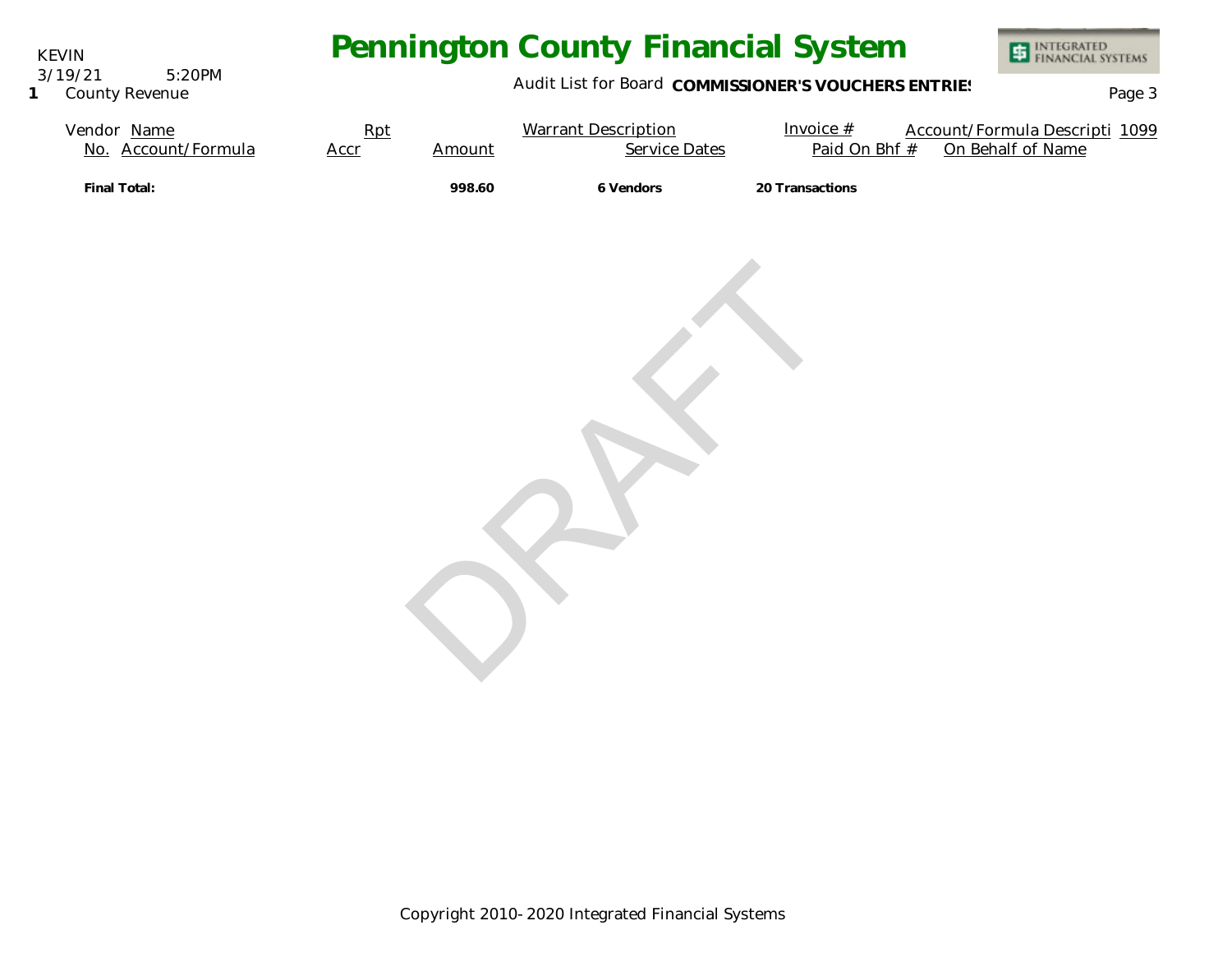KEVIN 3/19/21 5:20PM

**1** County Revenue

# **Pennington County Financial System**



#### Audit List for Board COMMISSIONER'S VOUCHERS ENTRIES<br>Page 3

| Vendor Name<br>No. Account/Formula | Rpt<br>Accr | Amount | <b>Warrant Description</b><br><b>Service Dates</b> | Invoice $#$<br>Paid On Bhf # | Account/Formula Descripti 1099<br>On Behalf of Name |
|------------------------------------|-------------|--------|----------------------------------------------------|------------------------------|-----------------------------------------------------|
| Final Total:                       |             | 998.60 | 6 Vendors                                          | 20 Transactions              |                                                     |
|                                    |             |        |                                                    |                              |                                                     |